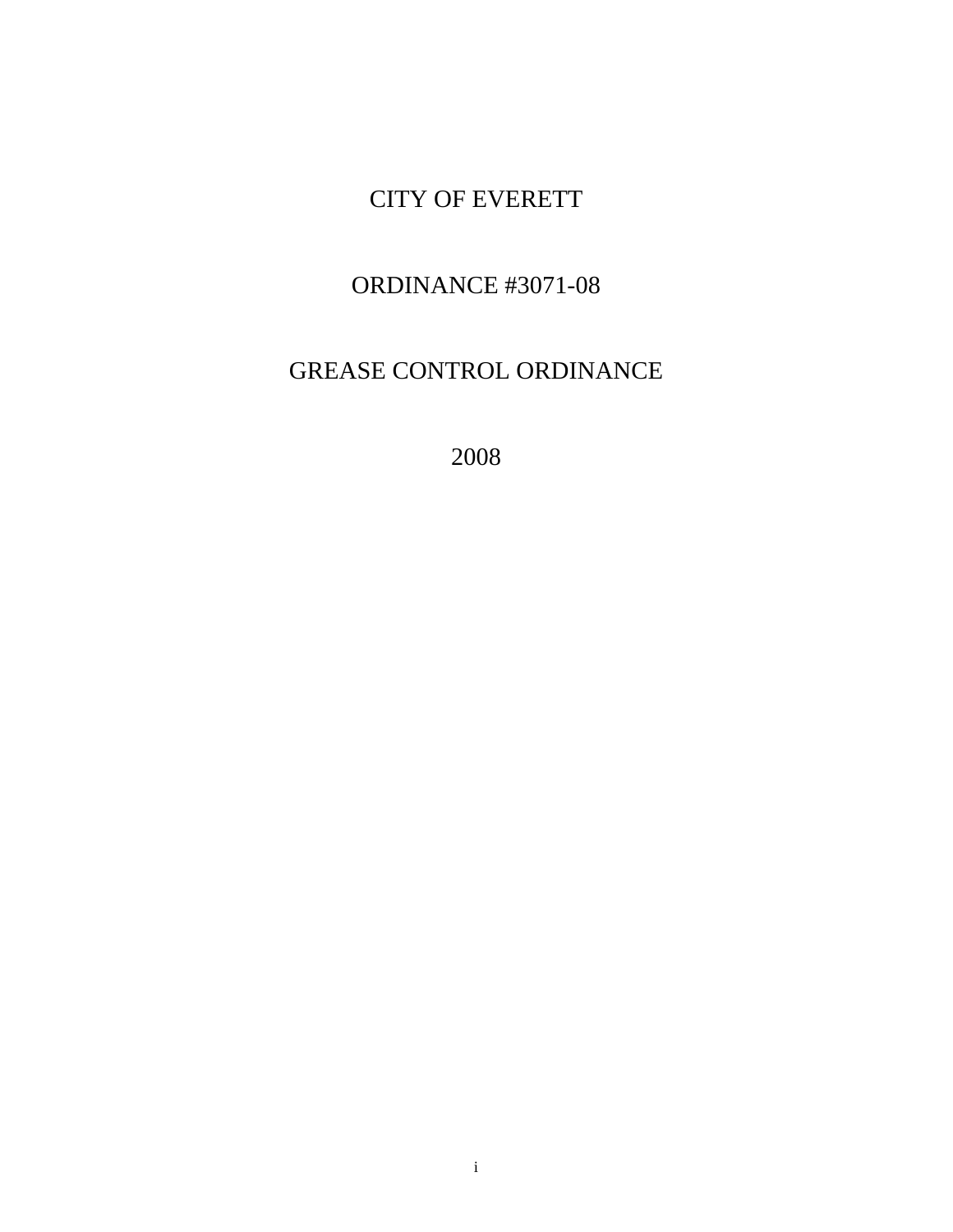# CITY OF EVERETT

## ORDINANCE #3071-08

# GREASE CONTROL ORDINANCE

2008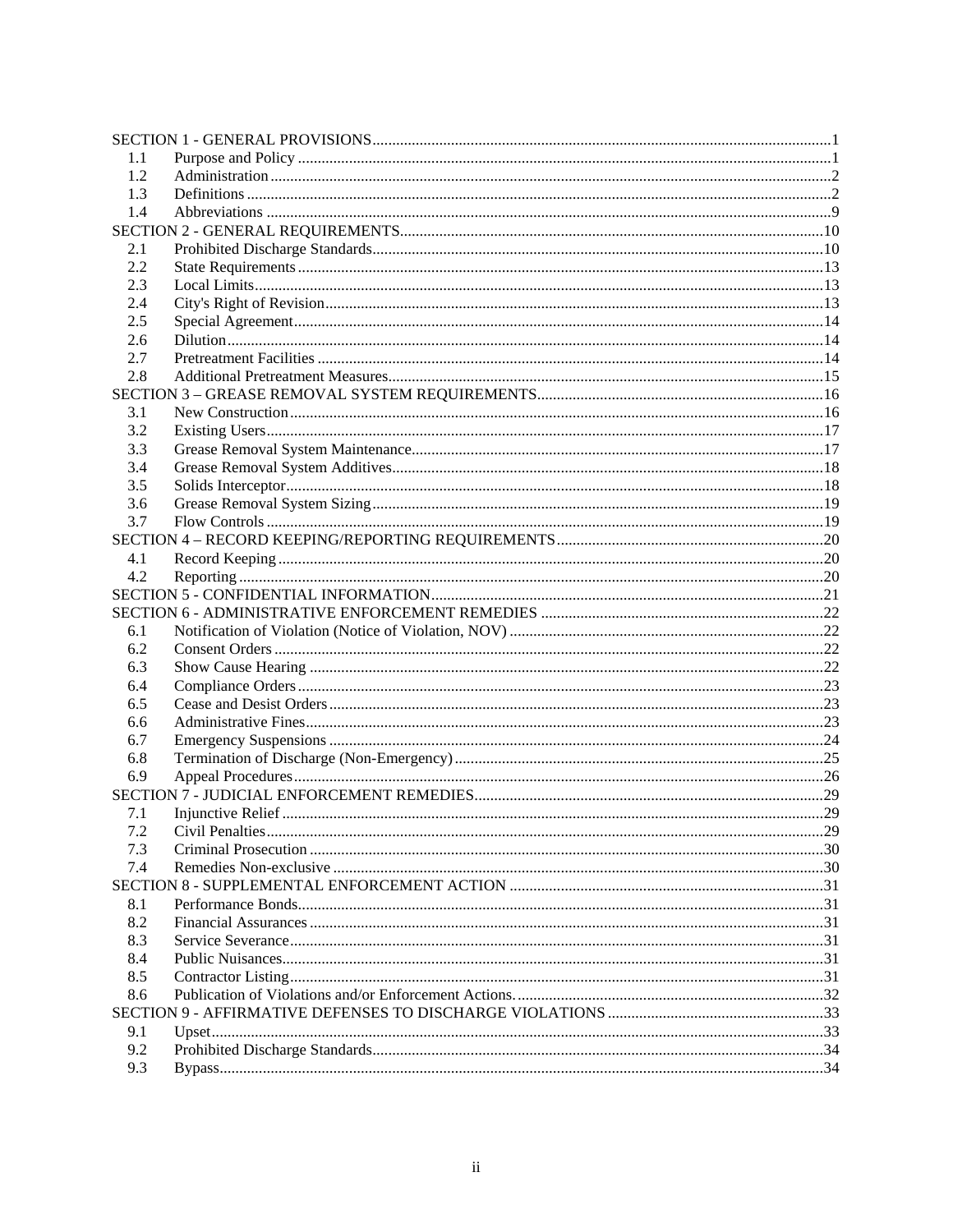| 1.1 |  |  |  |  |
|-----|--|--|--|--|
| 1.2 |  |  |  |  |
| 1.3 |  |  |  |  |
| 1.4 |  |  |  |  |
|     |  |  |  |  |
| 2.1 |  |  |  |  |
| 2.2 |  |  |  |  |
| 2.3 |  |  |  |  |
| 2.4 |  |  |  |  |
| 2.5 |  |  |  |  |
| 2.6 |  |  |  |  |
| 2.7 |  |  |  |  |
| 2.8 |  |  |  |  |
|     |  |  |  |  |
| 3.1 |  |  |  |  |
| 3.2 |  |  |  |  |
| 3.3 |  |  |  |  |
| 3.4 |  |  |  |  |
| 3.5 |  |  |  |  |
| 3.6 |  |  |  |  |
| 3.7 |  |  |  |  |
|     |  |  |  |  |
| 4.1 |  |  |  |  |
| 4.2 |  |  |  |  |
|     |  |  |  |  |
|     |  |  |  |  |
| 6.1 |  |  |  |  |
| 6.2 |  |  |  |  |
| 6.3 |  |  |  |  |
| 6.4 |  |  |  |  |
| 6.5 |  |  |  |  |
| 6.6 |  |  |  |  |
| 6.7 |  |  |  |  |
| 6.8 |  |  |  |  |
| 6.9 |  |  |  |  |
|     |  |  |  |  |
| 7.1 |  |  |  |  |
| 7.2 |  |  |  |  |
|     |  |  |  |  |
| 7.3 |  |  |  |  |
| 7.4 |  |  |  |  |
|     |  |  |  |  |
| 8.1 |  |  |  |  |
| 8.2 |  |  |  |  |
| 8.3 |  |  |  |  |
| 8.4 |  |  |  |  |
| 8.5 |  |  |  |  |
| 8.6 |  |  |  |  |
|     |  |  |  |  |
| 9.1 |  |  |  |  |
| 9.2 |  |  |  |  |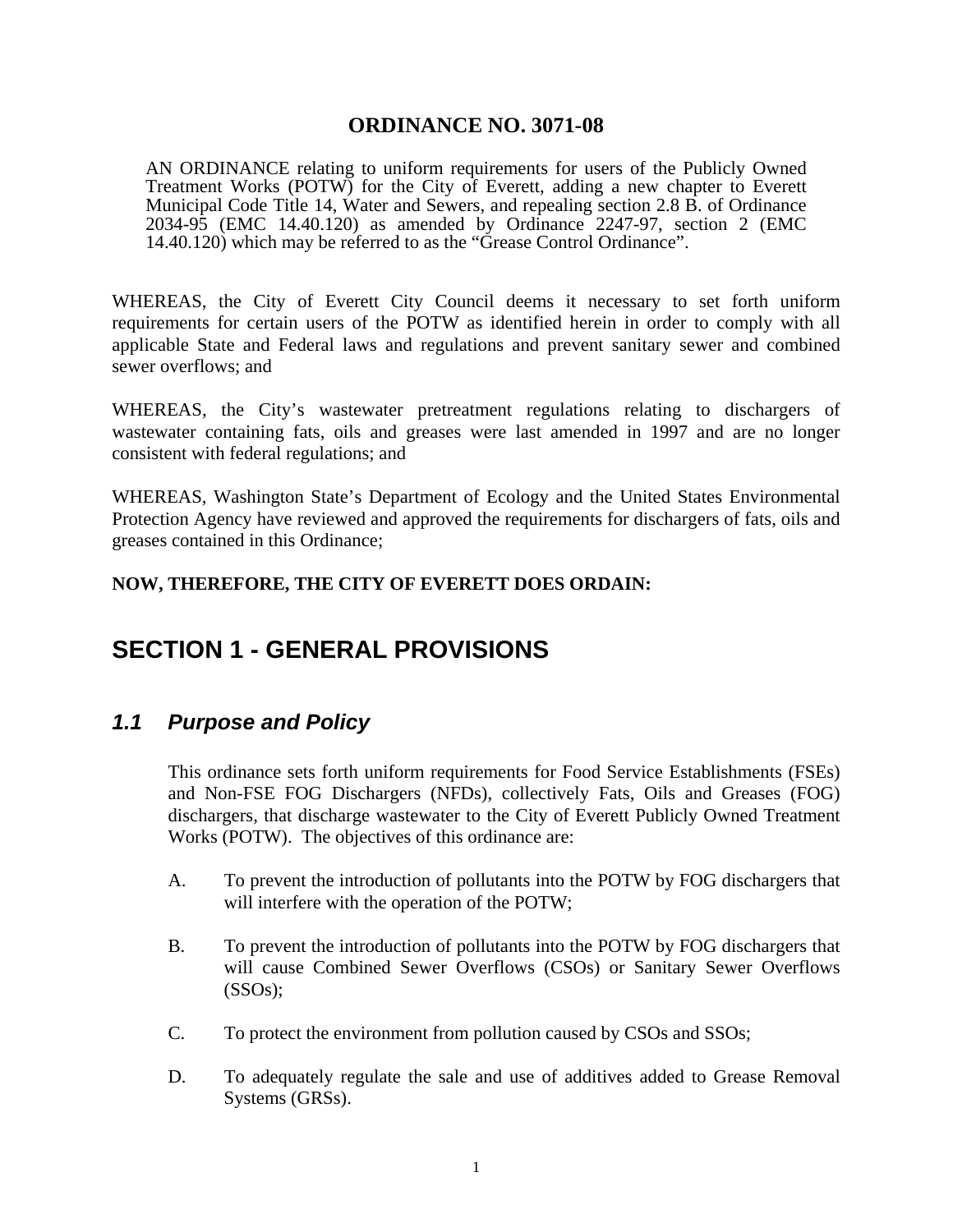#### **ORDINANCE NO. 3071-08**

<span id="page-4-0"></span>AN ORDINANCE relating to uniform requirements for users of the Publicly Owned Treatment Works (POTW) for the City of Everett, adding a new chapter to Everett Municipal Code Title 14, Water and Sewers, and repealing section 2.8 B. of Ordinance 2034-95 (EMC 14.40.120) as amended by Ordinance 2247-97, section 2 (EMC 14.40.120) which may be referred to as the "Grease Control Ordinance".

WHEREAS, the City of Everett City Council deems it necessary to set forth uniform requirements for certain users of the POTW as identified herein in order to comply with all applicable State and Federal laws and regulations and prevent sanitary sewer and combined sewer overflows; and

WHEREAS, the City's wastewater pretreatment regulations relating to dischargers of wastewater containing fats, oils and greases were last amended in 1997 and are no longer consistent with federal regulations; and

WHEREAS, Washington State's Department of Ecology and the United States Environmental Protection Agency have reviewed and approved the requirements for dischargers of fats, oils and greases contained in this Ordinance;

#### **NOW, THEREFORE, THE CITY OF EVERETT DOES ORDAIN:**

## **SECTION 1 - GENERAL PROVISIONS**

#### *1.1 Purpose and Policy*

 This ordinance sets forth uniform requirements for Food Service Establishments (FSEs) and Non-FSE FOG Dischargers (NFDs), collectively Fats, Oils and Greases (FOG) dischargers, that discharge wastewater to the City of Everett Publicly Owned Treatment Works (POTW). The objectives of this ordinance are:

- A. To prevent the introduction of pollutants into the POTW by FOG dischargers that will interfere with the operation of the POTW;
- B. To prevent the introduction of pollutants into the POTW by FOG dischargers that will cause Combined Sewer Overflows (CSOs) or Sanitary Sewer Overflows (SSOs);
- C. To protect the environment from pollution caused by CSOs and SSOs;
- D. To adequately regulate the sale and use of additives added to Grease Removal Systems (GRSs).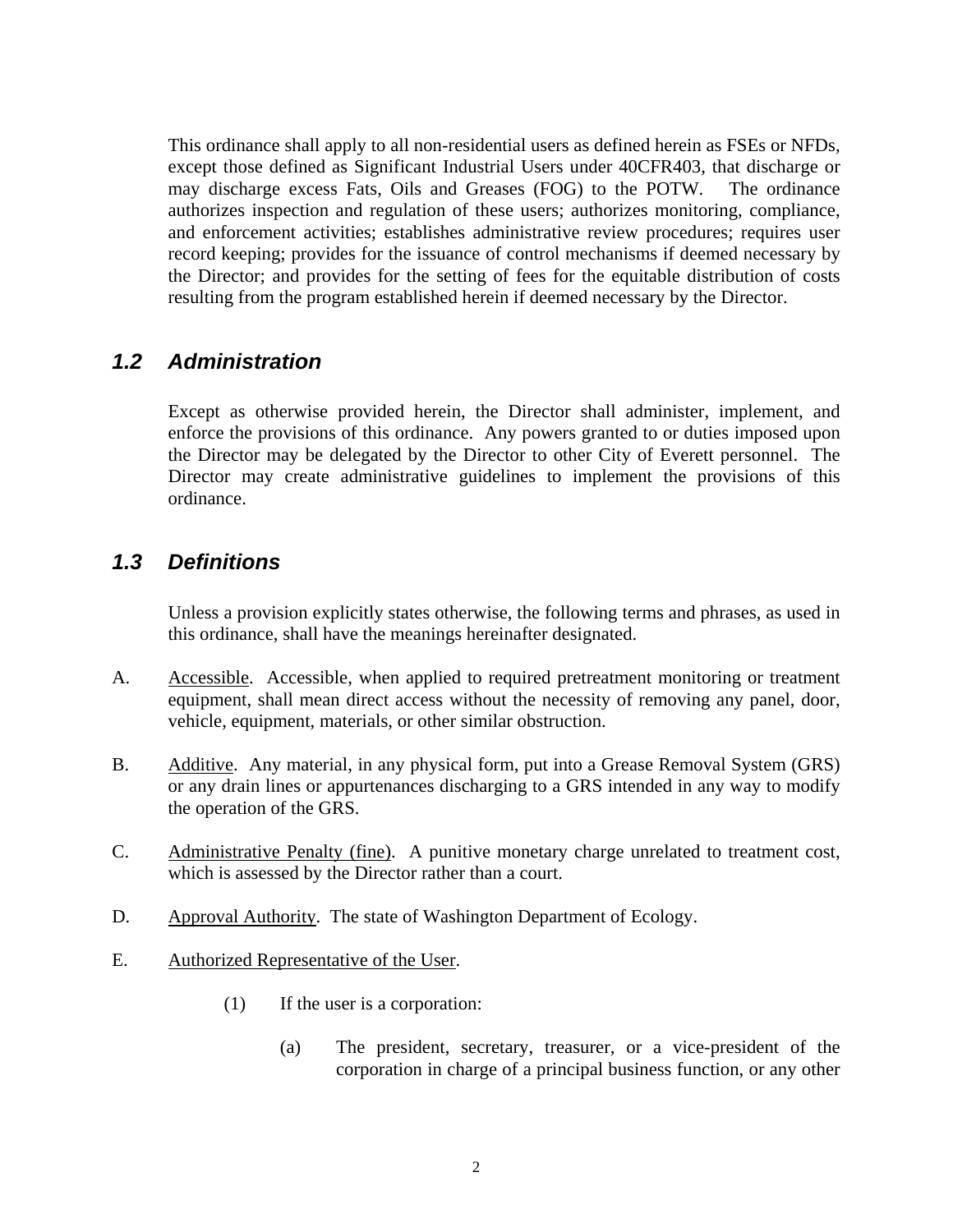<span id="page-5-0"></span> This ordinance shall apply to all non-residential users as defined herein as FSEs or NFDs, except those defined as Significant Industrial Users under 40CFR403, that discharge or may discharge excess Fats, Oils and Greases (FOG) to the POTW. The ordinance authorizes inspection and regulation of these users; authorizes monitoring, compliance, and enforcement activities; establishes administrative review procedures; requires user record keeping; provides for the issuance of control mechanisms if deemed necessary by the Director; and provides for the setting of fees for the equitable distribution of costs resulting from the program established herein if deemed necessary by the Director.

#### *1.2 Administration*

 Except as otherwise provided herein, the Director shall administer, implement, and enforce the provisions of this ordinance. Any powers granted to or duties imposed upon the Director may be delegated by the Director to other City of Everett personnel. The Director may create administrative guidelines to implement the provisions of this ordinance.

#### *1.3 Definitions*

 Unless a provision explicitly states otherwise, the following terms and phrases, as used in this ordinance, shall have the meanings hereinafter designated.

- A. Accessible. Accessible, when applied to required pretreatment monitoring or treatment equipment, shall mean direct access without the necessity of removing any panel, door, vehicle, equipment, materials, or other similar obstruction.
- B. Additive. Any material, in any physical form, put into a Grease Removal System (GRS) or any drain lines or appurtenances discharging to a GRS intended in any way to modify the operation of the GRS.
- C. Administrative Penalty (fine). A punitive monetary charge unrelated to treatment cost, which is assessed by the Director rather than a court.
- D. Approval Authority. The state of Washington Department of Ecology.
- E. Authorized Representative of the User.
	- (1) If the user is a corporation:
		- (a) The president, secretary, treasurer, or a vice-president of the corporation in charge of a principal business function, or any other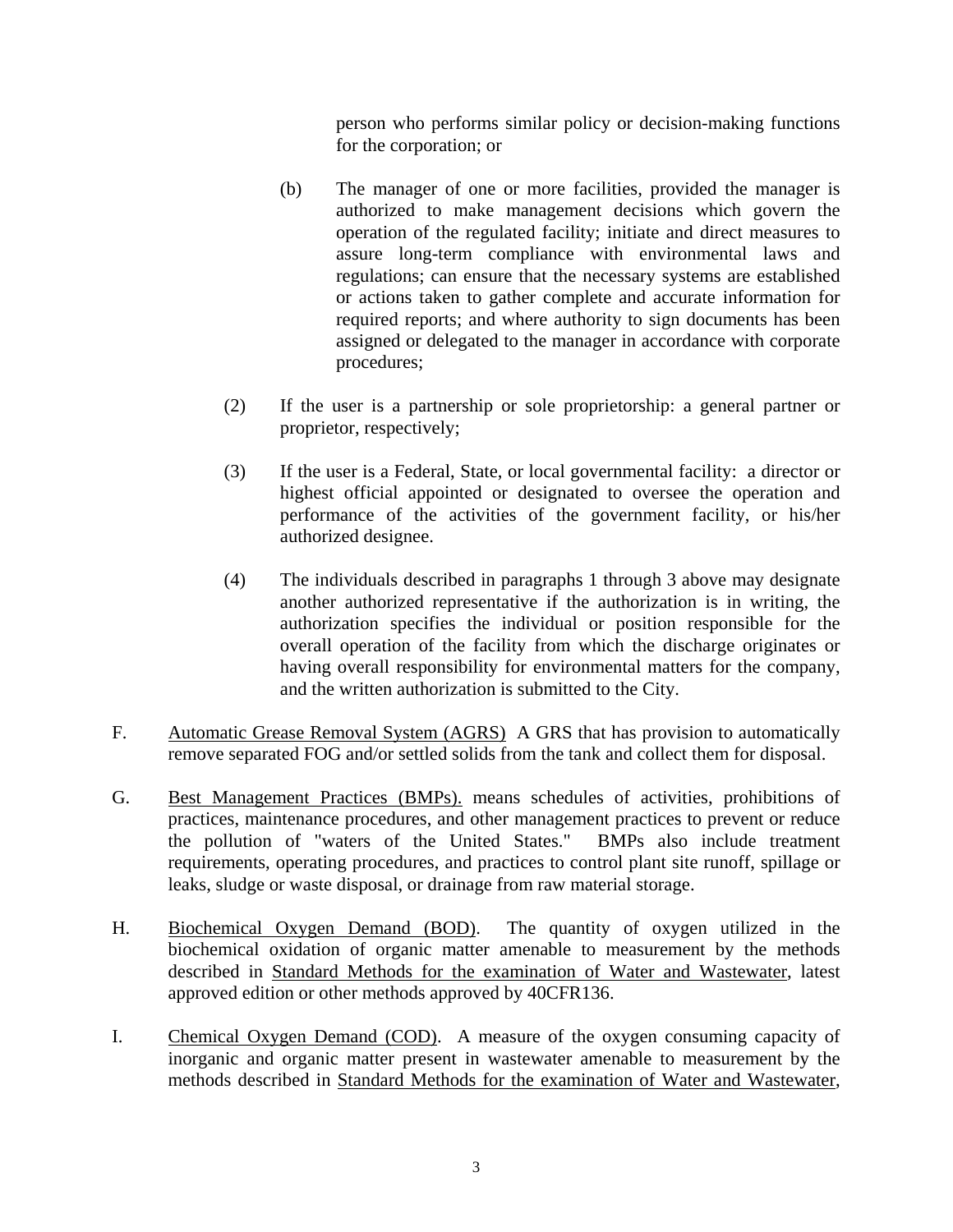person who performs similar policy or decision-making functions for the corporation; or

- (b) The manager of one or more facilities, provided the manager is authorized to make management decisions which govern the operation of the regulated facility; initiate and direct measures to assure long-term compliance with environmental laws and regulations; can ensure that the necessary systems are established or actions taken to gather complete and accurate information for required reports; and where authority to sign documents has been assigned or delegated to the manager in accordance with corporate procedures;
- (2) If the user is a partnership or sole proprietorship: a general partner or proprietor, respectively;
- (3) If the user is a Federal, State, or local governmental facility: a director or highest official appointed or designated to oversee the operation and performance of the activities of the government facility, or his/her authorized designee.
- (4) The individuals described in paragraphs 1 through 3 above may designate another authorized representative if the authorization is in writing, the authorization specifies the individual or position responsible for the overall operation of the facility from which the discharge originates or having overall responsibility for environmental matters for the company, and the written authorization is submitted to the City.
- F. Automatic Grease Removal System (AGRS) A GRS that has provision to automatically remove separated FOG and/or settled solids from the tank and collect them for disposal.
- G. Best Management Practices (BMPs). means schedules of activities, prohibitions of practices, maintenance procedures, and other management practices to prevent or reduce the pollution of "waters of the United States." BMPs also include treatment requirements, operating procedures, and practices to control plant site runoff, spillage or leaks, sludge or waste disposal, or drainage from raw material storage.
- H. Biochemical Oxygen Demand (BOD). The quantity of oxygen utilized in the biochemical oxidation of organic matter amenable to measurement by the methods described in Standard Methods for the examination of Water and Wastewater, latest approved edition or other methods approved by 40CFR136.
- I. Chemical Oxygen Demand (COD).A measure of the oxygen consuming capacity of inorganic and organic matter present in wastewater amenable to measurement by the methods described in Standard Methods for the examination of Water and Wastewater,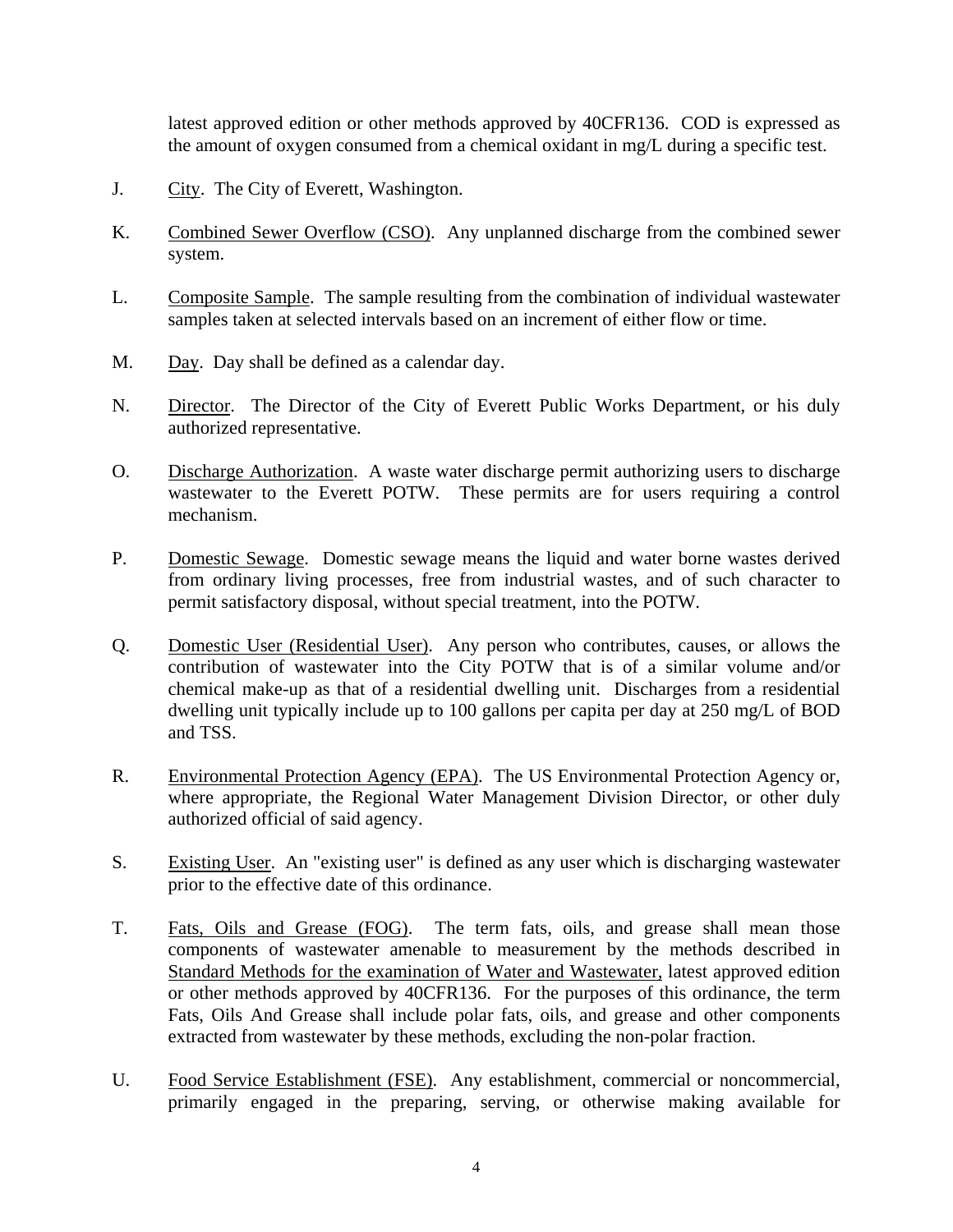latest approved edition or other methods approved by 40CFR136. COD is expressed as the amount of oxygen consumed from a chemical oxidant in mg/L during a specific test.

- J. City. The City of Everett, Washington.
- K. Combined Sewer Overflow (CSO). Any unplanned discharge from the combined sewer system.
- L. Composite Sample. The sample resulting from the combination of individual wastewater samples taken at selected intervals based on an increment of either flow or time.
- M. Day. Day shall be defined as a calendar day.
- N. Director. The Director of the City of Everett Public Works Department, or his duly authorized representative.
- O. Discharge Authorization. A waste water discharge permit authorizing users to discharge wastewater to the Everett POTW. These permits are for users requiring a control mechanism.
- P. Domestic Sewage. Domestic sewage means the liquid and water borne wastes derived from ordinary living processes, free from industrial wastes, and of such character to permit satisfactory disposal, without special treatment, into the POTW.
- Q. Domestic User (Residential User). Any person who contributes, causes, or allows the contribution of wastewater into the City POTW that is of a similar volume and/or chemical make-up as that of a residential dwelling unit. Discharges from a residential dwelling unit typically include up to 100 gallons per capita per day at 250 mg/L of BOD and TSS.
- R. Environmental Protection Agency (EPA). The US Environmental Protection Agency or, where appropriate, the Regional Water Management Division Director, or other duly authorized official of said agency.
- S. Existing User. An "existing user" is defined as any user which is discharging wastewater prior to the effective date of this ordinance.
- T. Fats, Oils and Grease (FOG). The term fats, oils, and grease shall mean those components of wastewater amenable to measurement by the methods described in Standard Methods for the examination of Water and Wastewater, latest approved edition or other methods approved by 40CFR136. For the purposes of this ordinance, the term Fats, Oils And Grease shall include polar fats, oils, and grease and other components extracted from wastewater by these methods, excluding the non-polar fraction.
- U. Food Service Establishment (FSE). Any establishment, commercial or noncommercial, primarily engaged in the preparing, serving, or otherwise making available for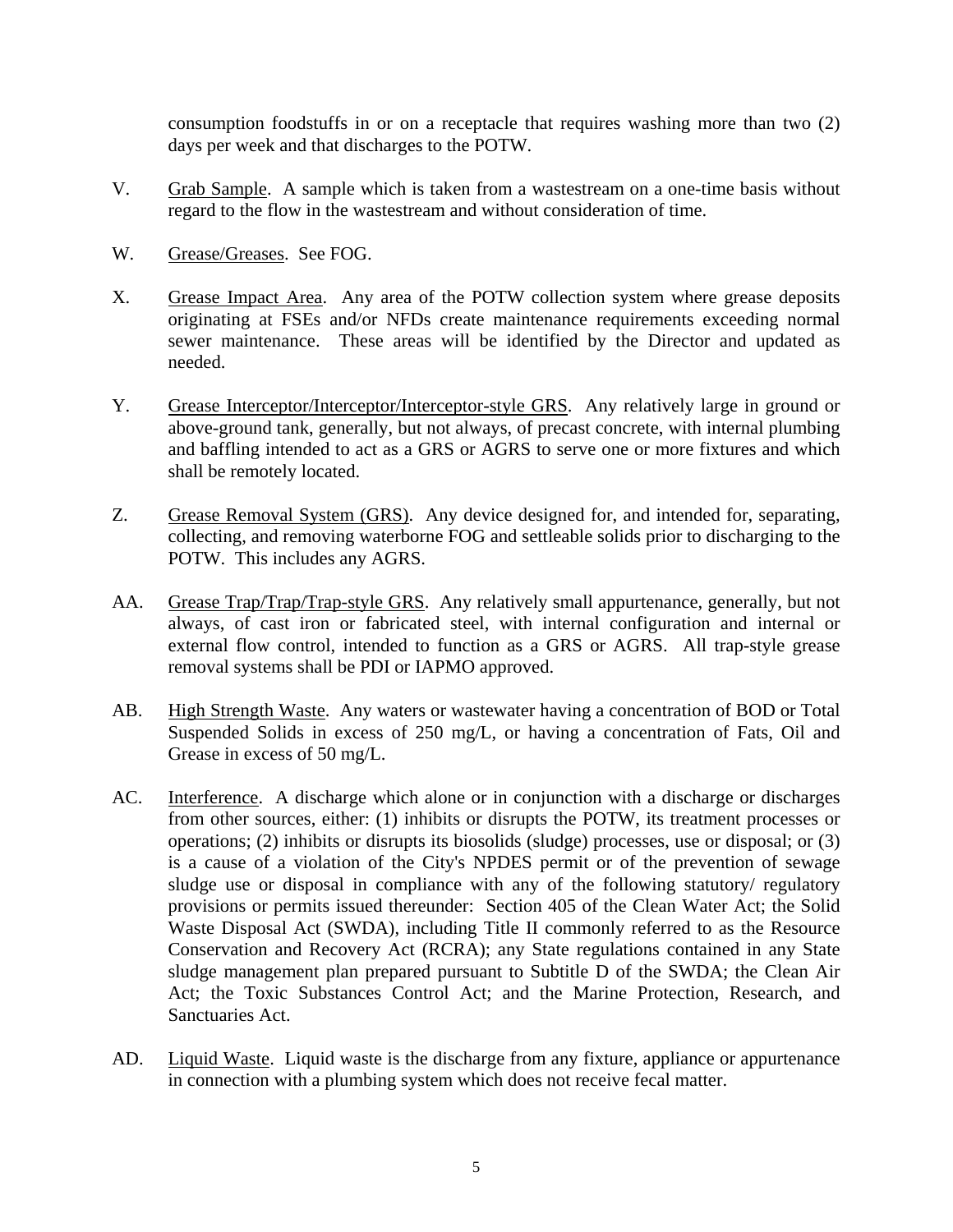consumption foodstuffs in or on a receptacle that requires washing more than two (2) days per week and that discharges to the POTW.

- V. Grab Sample. A sample which is taken from a wastestream on a one-time basis without regard to the flow in the wastestream and without consideration of time.
- W. Grease/Greases. See FOG.
- X. Grease Impact Area. Any area of the POTW collection system where grease deposits originating at FSEs and/or NFDs create maintenance requirements exceeding normal sewer maintenance. These areas will be identified by the Director and updated as needed.
- Y. Grease Interceptor/Interceptor/Interceptor-style GRS. Any relatively large in ground or above-ground tank, generally, but not always, of precast concrete, with internal plumbing and baffling intended to act as a GRS or AGRS to serve one or more fixtures and which shall be remotely located.
- Z. Grease Removal System (GRS). Any device designed for, and intended for, separating, collecting, and removing waterborne FOG and settleable solids prior to discharging to the POTW. This includes any AGRS.
- AA. Grease Trap/Trap/Trap-style GRS. Any relatively small appurtenance, generally, but not always, of cast iron or fabricated steel, with internal configuration and internal or external flow control, intended to function as a GRS or AGRS. All trap-style grease removal systems shall be PDI or IAPMO approved.
- AB. High Strength Waste. Any waters or wastewater having a concentration of BOD or Total Suspended Solids in excess of 250 mg/L, or having a concentration of Fats, Oil and Grease in excess of 50 mg/L.
- AC. Interference. A discharge which alone or in conjunction with a discharge or discharges from other sources, either: (1) inhibits or disrupts the POTW, its treatment processes or operations; (2) inhibits or disrupts its biosolids (sludge) processes, use or disposal; or (3) is a cause of a violation of the City's NPDES permit or of the prevention of sewage sludge use or disposal in compliance with any of the following statutory/ regulatory provisions or permits issued thereunder: Section 405 of the Clean Water Act; the Solid Waste Disposal Act (SWDA), including Title II commonly referred to as the Resource Conservation and Recovery Act (RCRA); any State regulations contained in any State sludge management plan prepared pursuant to Subtitle D of the SWDA; the Clean Air Act; the Toxic Substances Control Act; and the Marine Protection, Research, and Sanctuaries Act.
- AD. Liquid Waste. Liquid waste is the discharge from any fixture, appliance or appurtenance in connection with a plumbing system which does not receive fecal matter.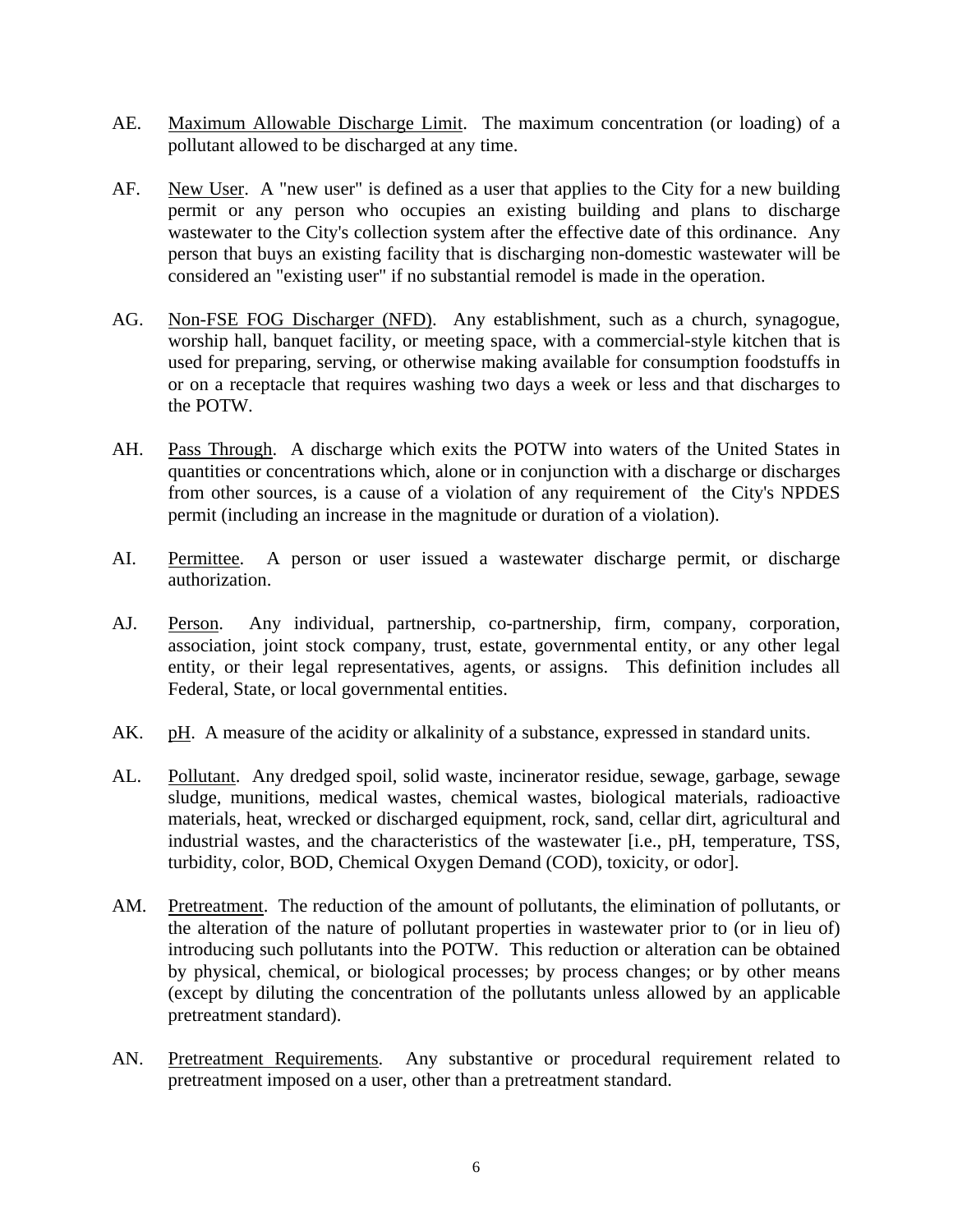- AE. Maximum Allowable Discharge Limit. The maximum concentration (or loading) of a pollutant allowed to be discharged at any time.
- AF. New User. A "new user" is defined as a user that applies to the City for a new building permit or any person who occupies an existing building and plans to discharge wastewater to the City's collection system after the effective date of this ordinance. Any person that buys an existing facility that is discharging non-domestic wastewater will be considered an "existing user" if no substantial remodel is made in the operation.
- AG. Non-FSE FOG Discharger (NFD). Any establishment, such as a church, synagogue, worship hall, banquet facility, or meeting space, with a commercial-style kitchen that is used for preparing, serving, or otherwise making available for consumption foodstuffs in or on a receptacle that requires washing two days a week or less and that discharges to the POTW.
- AH. Pass Through. A discharge which exits the POTW into waters of the United States in quantities or concentrations which, alone or in conjunction with a discharge or discharges from other sources, is a cause of a violation of any requirement of the City's NPDES permit (including an increase in the magnitude or duration of a violation).
- AI. Permittee. A person or user issued a wastewater discharge permit, or discharge authorization.
- AJ. Person. Any individual, partnership, co-partnership, firm, company, corporation, association, joint stock company, trust, estate, governmental entity, or any other legal entity, or their legal representatives, agents, or assigns. This definition includes all Federal, State, or local governmental entities.
- AK. pH. A measure of the acidity or alkalinity of a substance, expressed in standard units.
- AL. Pollutant. Any dredged spoil, solid waste, incinerator residue, sewage, garbage, sewage sludge, munitions, medical wastes, chemical wastes, biological materials, radioactive materials, heat, wrecked or discharged equipment, rock, sand, cellar dirt, agricultural and industrial wastes, and the characteristics of the wastewater [i.e., pH, temperature, TSS, turbidity, color, BOD, Chemical Oxygen Demand (COD), toxicity, or odor].
- AM. Pretreatment. The reduction of the amount of pollutants, the elimination of pollutants, or the alteration of the nature of pollutant properties in wastewater prior to (or in lieu of) introducing such pollutants into the POTW. This reduction or alteration can be obtained by physical, chemical, or biological processes; by process changes; or by other means (except by diluting the concentration of the pollutants unless allowed by an applicable pretreatment standard).
- AN. Pretreatment Requirements. Any substantive or procedural requirement related to pretreatment imposed on a user, other than a pretreatment standard.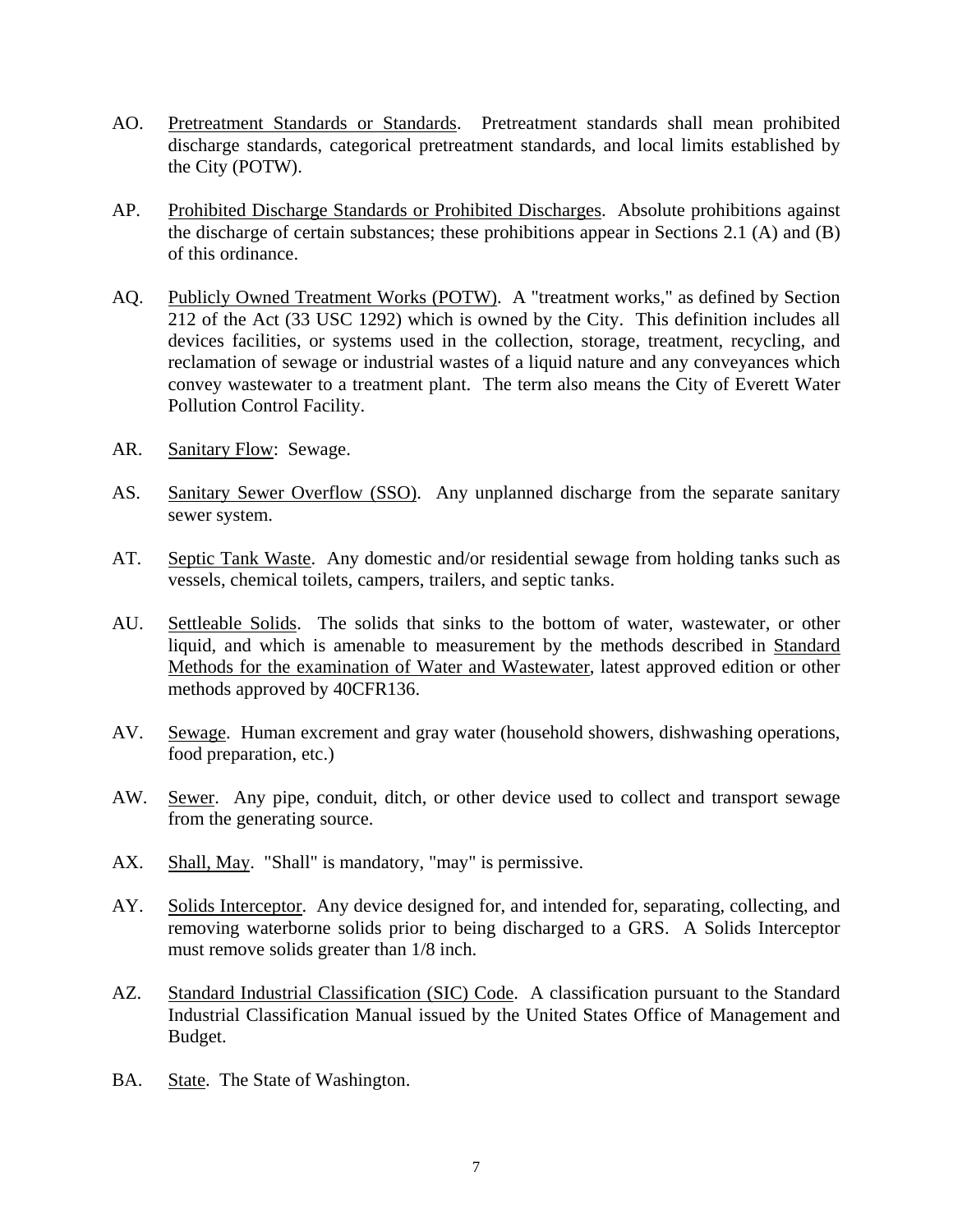- AO. Pretreatment Standards or Standards. Pretreatment standards shall mean prohibited discharge standards, categorical pretreatment standards, and local limits established by the City (POTW).
- AP. Prohibited Discharge Standards or Prohibited Discharges. Absolute prohibitions against the discharge of certain substances; these prohibitions appear in Sections 2.1 (A) and (B) of this ordinance.
- AQ. Publicly Owned Treatment Works (POTW). A "treatment works," as defined by Section 212 of the Act (33 USC 1292) which is owned by the City. This definition includes all devices facilities, or systems used in the collection, storage, treatment, recycling, and reclamation of sewage or industrial wastes of a liquid nature and any conveyances which convey wastewater to a treatment plant. The term also means the City of Everett Water Pollution Control Facility.
- AR. Sanitary Flow: Sewage.
- AS. Sanitary Sewer Overflow (SSO). Any unplanned discharge from the separate sanitary sewer system.
- AT. Septic Tank Waste. Any domestic and/or residential sewage from holding tanks such as vessels, chemical toilets, campers, trailers, and septic tanks.
- AU. Settleable Solids. The solids that sinks to the bottom of water, wastewater, or other liquid, and which is amenable to measurement by the methods described in Standard Methods for the examination of Water and Wastewater, latest approved edition or other methods approved by 40CFR136.
- AV. Sewage. Human excrement and gray water (household showers, dishwashing operations, food preparation, etc.)
- AW. Sewer. Any pipe, conduit, ditch, or other device used to collect and transport sewage from the generating source.
- AX. Shall, May. "Shall" is mandatory, "may" is permissive.
- AY. Solids Interceptor. Any device designed for, and intended for, separating, collecting, and removing waterborne solids prior to being discharged to a GRS. A Solids Interceptor must remove solids greater than 1/8 inch.
- AZ. Standard Industrial Classification (SIC) Code. A classification pursuant to the Standard Industrial Classification Manual issued by the United States Office of Management and Budget.
- BA. State. The State of Washington.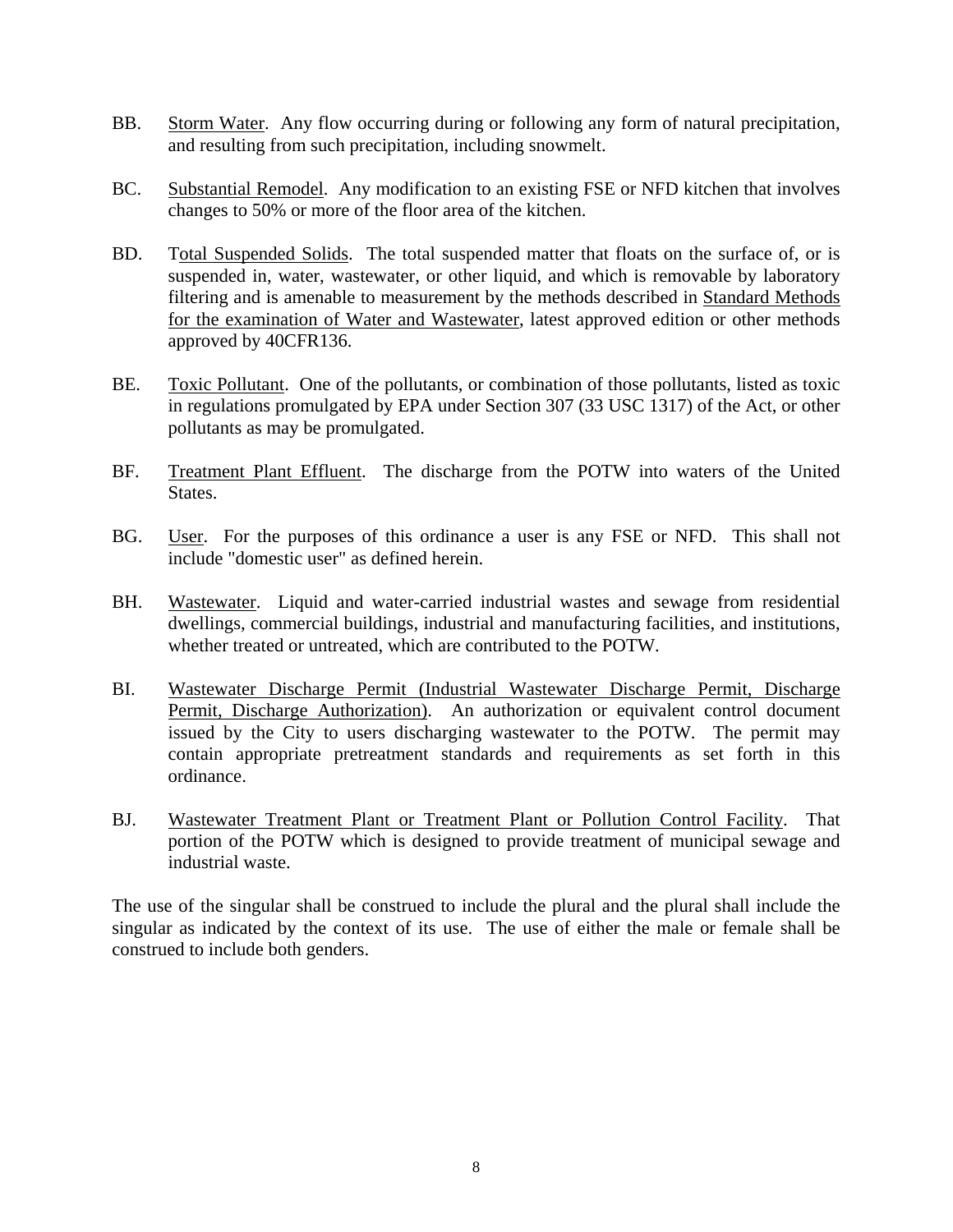- BB. Storm Water. Any flow occurring during or following any form of natural precipitation, and resulting from such precipitation, including snowmelt.
- BC. Substantial Remodel. Any modification to an existing FSE or NFD kitchen that involves changes to 50% or more of the floor area of the kitchen.
- BD. Total Suspended Solids. The total suspended matter that floats on the surface of, or is suspended in, water, wastewater, or other liquid, and which is removable by laboratory filtering and is amenable to measurement by the methods described in Standard Methods for the examination of Water and Wastewater, latest approved edition or other methods approved by 40CFR136.
- BE. Toxic Pollutant. One of the pollutants, or combination of those pollutants, listed as toxic in regulations promulgated by EPA under Section 307 (33 USC 1317) of the Act, or other pollutants as may be promulgated.
- BF. Treatment Plant Effluent. The discharge from the POTW into waters of the United States.
- BG. User. For the purposes of this ordinance a user is any FSE or NFD. This shall not include "domestic user" as defined herein.
- BH. Wastewater. Liquid and water-carried industrial wastes and sewage from residential dwellings, commercial buildings, industrial and manufacturing facilities, and institutions, whether treated or untreated, which are contributed to the POTW.
- BI. Wastewater Discharge Permit (Industrial Wastewater Discharge Permit, Discharge Permit, Discharge Authorization). An authorization or equivalent control document issued by the City to users discharging wastewater to the POTW. The permit may contain appropriate pretreatment standards and requirements as set forth in this ordinance.
- BJ. Wastewater Treatment Plant or Treatment Plant or Pollution Control Facility. That portion of the POTW which is designed to provide treatment of municipal sewage and industrial waste.

The use of the singular shall be construed to include the plural and the plural shall include the singular as indicated by the context of its use. The use of either the male or female shall be construed to include both genders.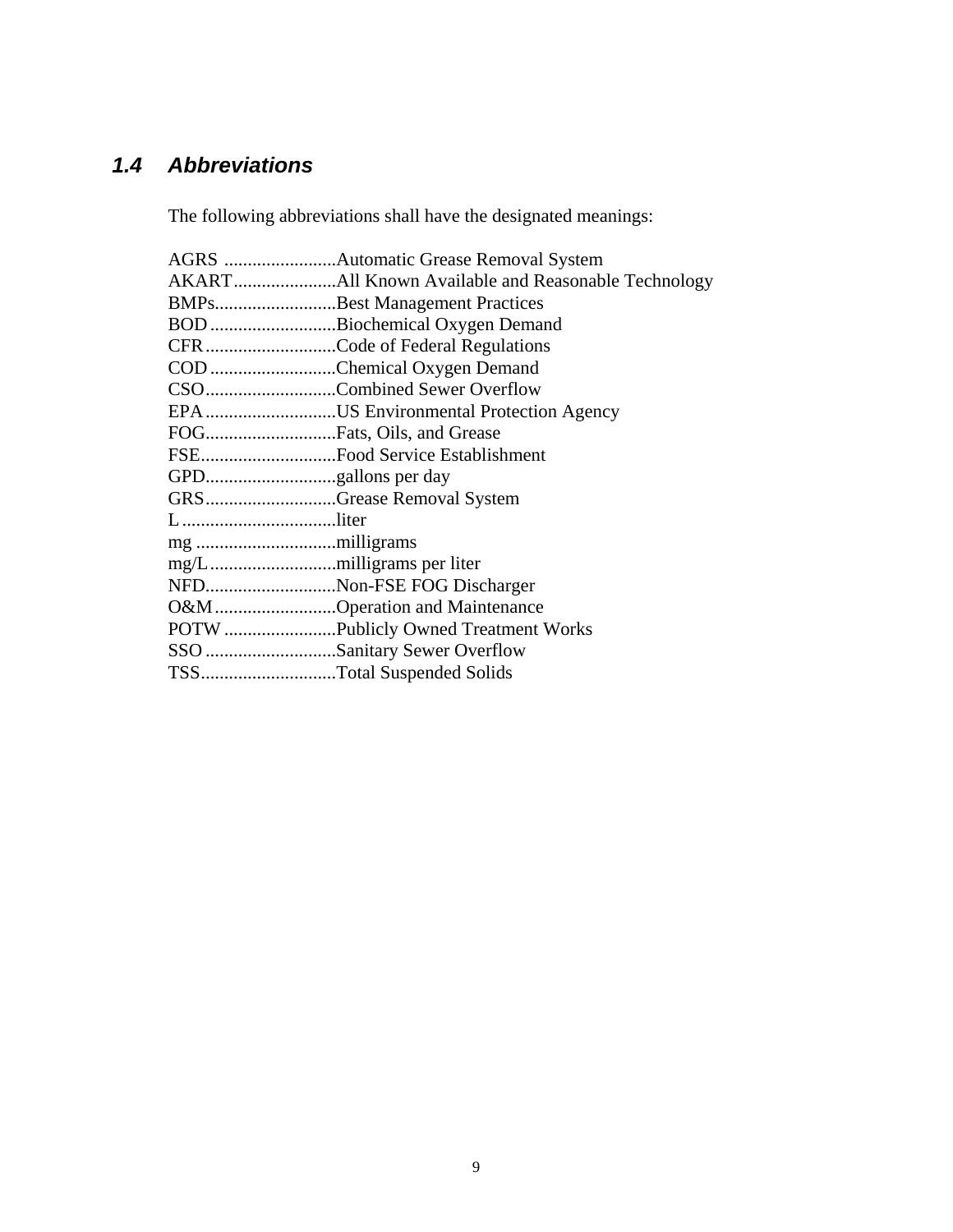# <span id="page-12-0"></span>*1.4 Abbreviations*

The following abbreviations shall have the designated meanings:

|        | BMPsBest Management Practices         |
|--------|---------------------------------------|
|        | BOD Biochemical Oxygen Demand         |
|        | CFRCode of Federal Regulations        |
|        | COD Chemical Oxygen Demand            |
|        | CSOCombined Sewer Overflow            |
|        | EPAUS Environmental Protection Agency |
|        |                                       |
|        | FSEFood Service Establishment         |
|        |                                       |
|        | GRSGrease Removal System              |
| Lliter |                                       |
|        |                                       |
|        |                                       |
|        | NFDNon-FSE FOG Discharger             |
|        | O&M Operation and Maintenance         |
|        | POTW Publicly Owned Treatment Works   |
|        | SSO Sanitary Sewer Overflow           |
|        | TSSTotal Suspended Solids             |
|        |                                       |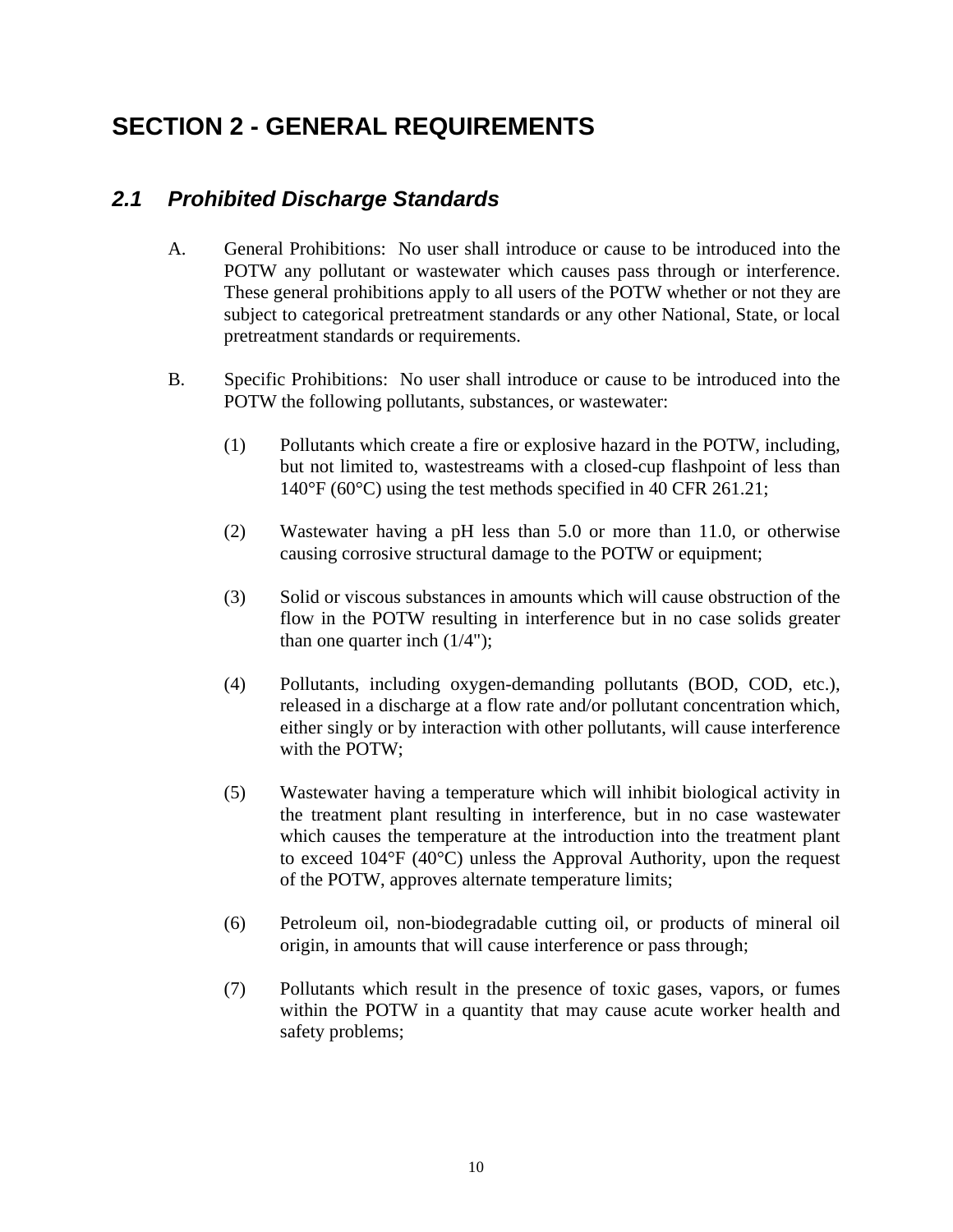# <span id="page-13-0"></span>**SECTION 2 - GENERAL REQUIREMENTS**

### *2.1 Prohibited Discharge Standards*

- A. General Prohibitions: No user shall introduce or cause to be introduced into the POTW any pollutant or wastewater which causes pass through or interference. These general prohibitions apply to all users of the POTW whether or not they are subject to categorical pretreatment standards or any other National, State, or local pretreatment standards or requirements.
- B. Specific Prohibitions: No user shall introduce or cause to be introduced into the POTW the following pollutants, substances, or wastewater:
	- (1) Pollutants which create a fire or explosive hazard in the POTW, including, but not limited to, wastestreams with a closed-cup flashpoint of less than 140°F (60°C) using the test methods specified in 40 CFR 261.21;
	- (2) Wastewater having a pH less than 5.0 or more than 11.0, or otherwise causing corrosive structural damage to the POTW or equipment;
	- (3) Solid or viscous substances in amounts which will cause obstruction of the flow in the POTW resulting in interference but in no case solids greater than one quarter inch  $(1/4")$ ;
	- (4) Pollutants, including oxygen-demanding pollutants (BOD, COD, etc.), released in a discharge at a flow rate and/or pollutant concentration which, either singly or by interaction with other pollutants, will cause interference with the POTW;
	- (5) Wastewater having a temperature which will inhibit biological activity in the treatment plant resulting in interference, but in no case wastewater which causes the temperature at the introduction into the treatment plant to exceed 104°F (40°C) unless the Approval Authority, upon the request of the POTW, approves alternate temperature limits;
	- (6) Petroleum oil, non-biodegradable cutting oil, or products of mineral oil origin, in amounts that will cause interference or pass through;
	- (7) Pollutants which result in the presence of toxic gases, vapors, or fumes within the POTW in a quantity that may cause acute worker health and safety problems;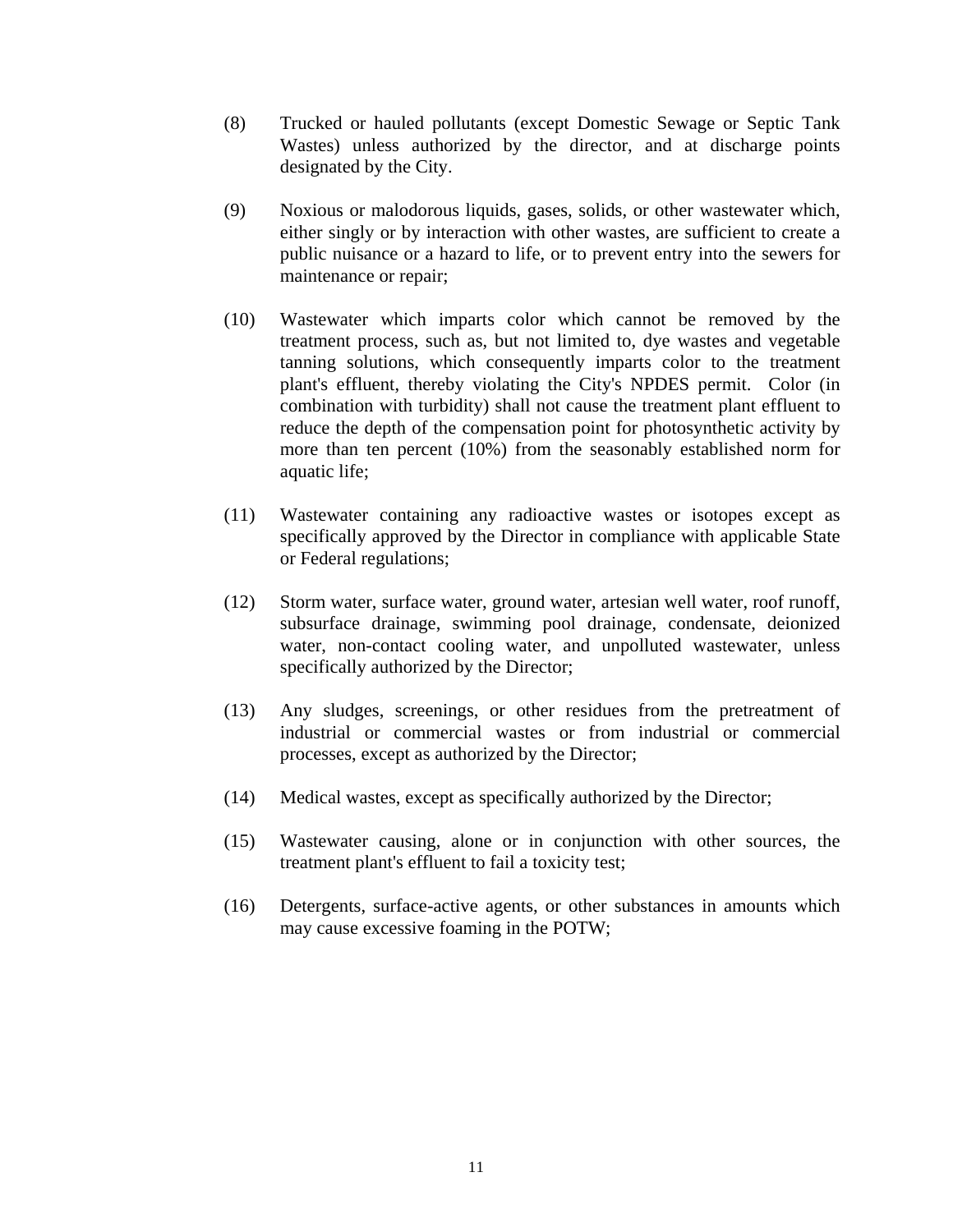- (8) Trucked or hauled pollutants (except Domestic Sewage or Septic Tank Wastes) unless authorized by the director, and at discharge points designated by the City.
- (9) Noxious or malodorous liquids, gases, solids, or other wastewater which, either singly or by interaction with other wastes, are sufficient to create a public nuisance or a hazard to life, or to prevent entry into the sewers for maintenance or repair;
- (10) Wastewater which imparts color which cannot be removed by the treatment process, such as, but not limited to, dye wastes and vegetable tanning solutions, which consequently imparts color to the treatment plant's effluent, thereby violating the City's NPDES permit. Color (in combination with turbidity) shall not cause the treatment plant effluent to reduce the depth of the compensation point for photosynthetic activity by more than ten percent (10%) from the seasonably established norm for aquatic life;
- (11) Wastewater containing any radioactive wastes or isotopes except as specifically approved by the Director in compliance with applicable State or Federal regulations;
- (12) Storm water, surface water, ground water, artesian well water, roof runoff, subsurface drainage, swimming pool drainage, condensate, deionized water, non-contact cooling water, and unpolluted wastewater, unless specifically authorized by the Director;
- (13) Any sludges, screenings, or other residues from the pretreatment of industrial or commercial wastes or from industrial or commercial processes, except as authorized by the Director;
- (14) Medical wastes, except as specifically authorized by the Director;
- (15) Wastewater causing, alone or in conjunction with other sources, the treatment plant's effluent to fail a toxicity test;
- (16) Detergents, surface-active agents, or other substances in amounts which may cause excessive foaming in the POTW;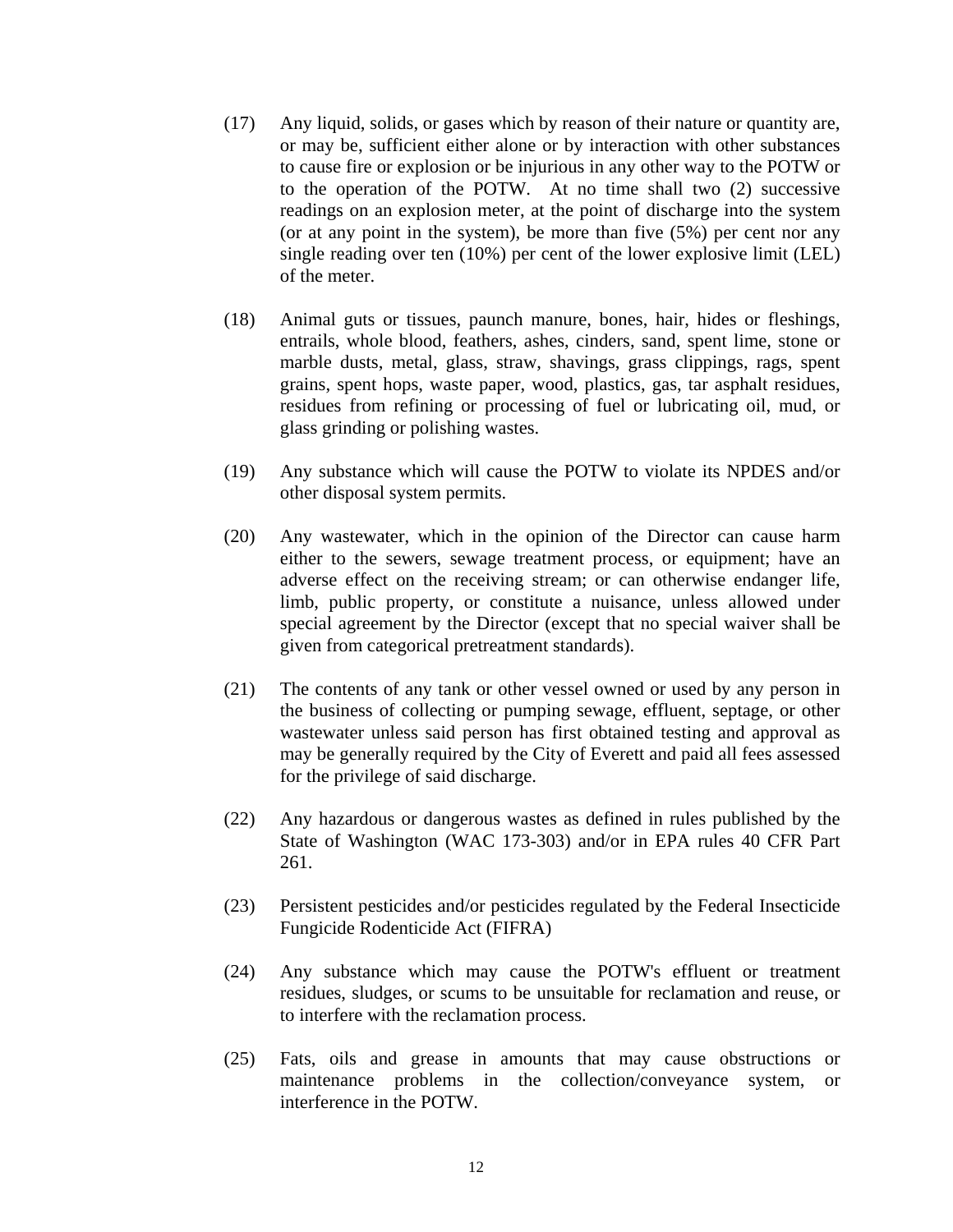- (17) Any liquid, solids, or gases which by reason of their nature or quantity are, or may be, sufficient either alone or by interaction with other substances to cause fire or explosion or be injurious in any other way to the POTW or to the operation of the POTW. At no time shall two (2) successive readings on an explosion meter, at the point of discharge into the system (or at any point in the system), be more than five (5%) per cent nor any single reading over ten (10%) per cent of the lower explosive limit (LEL) of the meter.
- (18) Animal guts or tissues, paunch manure, bones, hair, hides or fleshings, entrails, whole blood, feathers, ashes, cinders, sand, spent lime, stone or marble dusts, metal, glass, straw, shavings, grass clippings, rags, spent grains, spent hops, waste paper, wood, plastics, gas, tar asphalt residues, residues from refining or processing of fuel or lubricating oil, mud, or glass grinding or polishing wastes.
- (19) Any substance which will cause the POTW to violate its NPDES and/or other disposal system permits.
- (20) Any wastewater, which in the opinion of the Director can cause harm either to the sewers, sewage treatment process, or equipment; have an adverse effect on the receiving stream; or can otherwise endanger life, limb, public property, or constitute a nuisance, unless allowed under special agreement by the Director (except that no special waiver shall be given from categorical pretreatment standards).
- (21) The contents of any tank or other vessel owned or used by any person in the business of collecting or pumping sewage, effluent, septage, or other wastewater unless said person has first obtained testing and approval as may be generally required by the City of Everett and paid all fees assessed for the privilege of said discharge.
- (22) Any hazardous or dangerous wastes as defined in rules published by the State of Washington (WAC 173-303) and/or in EPA rules 40 CFR Part 261.
- (23) Persistent pesticides and/or pesticides regulated by the Federal Insecticide Fungicide Rodenticide Act (FIFRA)
- (24) Any substance which may cause the POTW's effluent or treatment residues, sludges, or scums to be unsuitable for reclamation and reuse, or to interfere with the reclamation process.
- (25) Fats, oils and grease in amounts that may cause obstructions or maintenance problems in the collection/conveyance system, or interference in the POTW.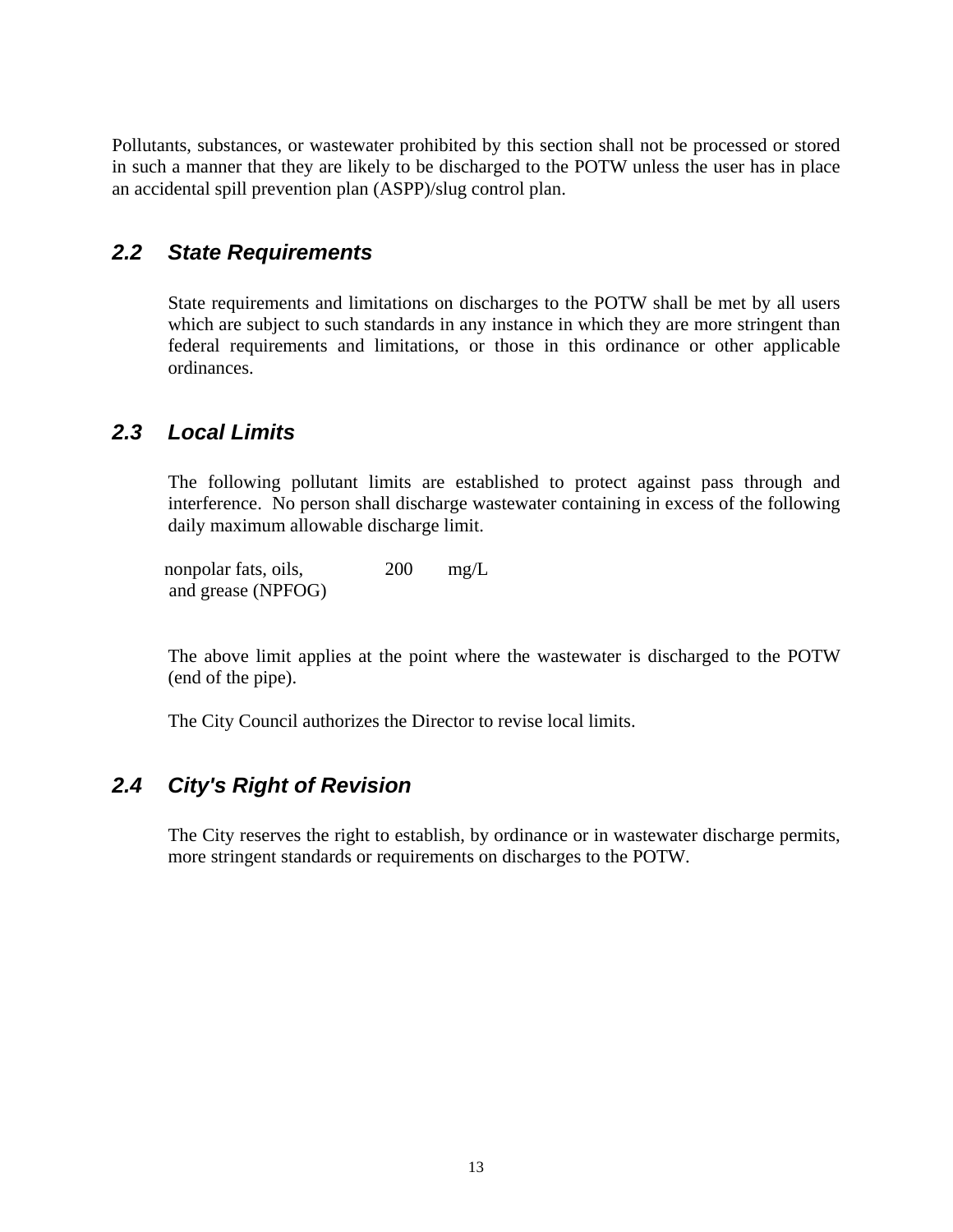<span id="page-16-0"></span>Pollutants, substances, or wastewater prohibited by this section shall not be processed or stored in such a manner that they are likely to be discharged to the POTW unless the user has in place an accidental spill prevention plan (ASPP)/slug control plan.

#### *2.2 State Requirements*

 State requirements and limitations on discharges to the POTW shall be met by all users which are subject to such standards in any instance in which they are more stringent than federal requirements and limitations, or those in this ordinance or other applicable ordinances.

#### *2.3 Local Limits*

 The following pollutant limits are established to protect against pass through and interference. No person shall discharge wastewater containing in excess of the following daily maximum allowable discharge limit.

nonpolar fats, oils, 200 mg/L and grease (NPFOG)

 The above limit applies at the point where the wastewater is discharged to the POTW (end of the pipe).

The City Council authorizes the Director to revise local limits.

### *2.4 City's Right of Revision*

 The City reserves the right to establish, by ordinance or in wastewater discharge permits, more stringent standards or requirements on discharges to the POTW.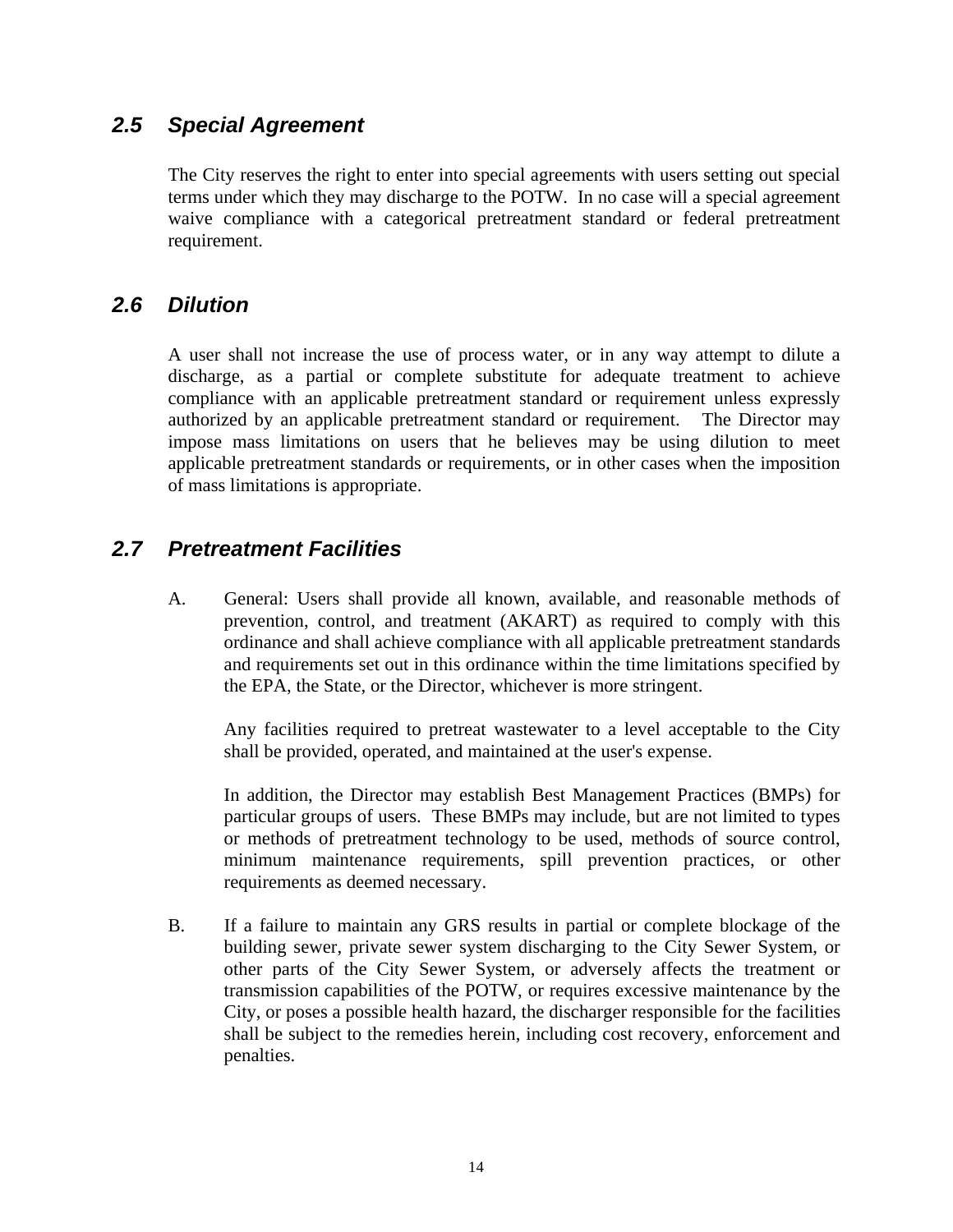#### <span id="page-17-0"></span>*2.5 Special Agreement*

 The City reserves the right to enter into special agreements with users setting out special terms under which they may discharge to the POTW. In no case will a special agreement waive compliance with a categorical pretreatment standard or federal pretreatment requirement.

#### *2.6 Dilution*

 A user shall not increase the use of process water, or in any way attempt to dilute a discharge, as a partial or complete substitute for adequate treatment to achieve compliance with an applicable pretreatment standard or requirement unless expressly authorized by an applicable pretreatment standard or requirement. The Director may impose mass limitations on users that he believes may be using dilution to meet applicable pretreatment standards or requirements, or in other cases when the imposition of mass limitations is appropriate.

#### *2.7 Pretreatment Facilities*

 A. General: Users shall provide all known, available, and reasonable methods of prevention, control, and treatment (AKART) as required to comply with this ordinance and shall achieve compliance with all applicable pretreatment standards and requirements set out in this ordinance within the time limitations specified by the EPA, the State, or the Director, whichever is more stringent.

 Any facilities required to pretreat wastewater to a level acceptable to the City shall be provided, operated, and maintained at the user's expense.

 In addition, the Director may establish Best Management Practices (BMPs) for particular groups of users. These BMPs may include, but are not limited to types or methods of pretreatment technology to be used, methods of source control, minimum maintenance requirements, spill prevention practices, or other requirements as deemed necessary.

B. If a failure to maintain any GRS results in partial or complete blockage of the building sewer, private sewer system discharging to the City Sewer System, or other parts of the City Sewer System, or adversely affects the treatment or transmission capabilities of the POTW, or requires excessive maintenance by the City, or poses a possible health hazard, the discharger responsible for the facilities shall be subject to the remedies herein, including cost recovery, enforcement and penalties.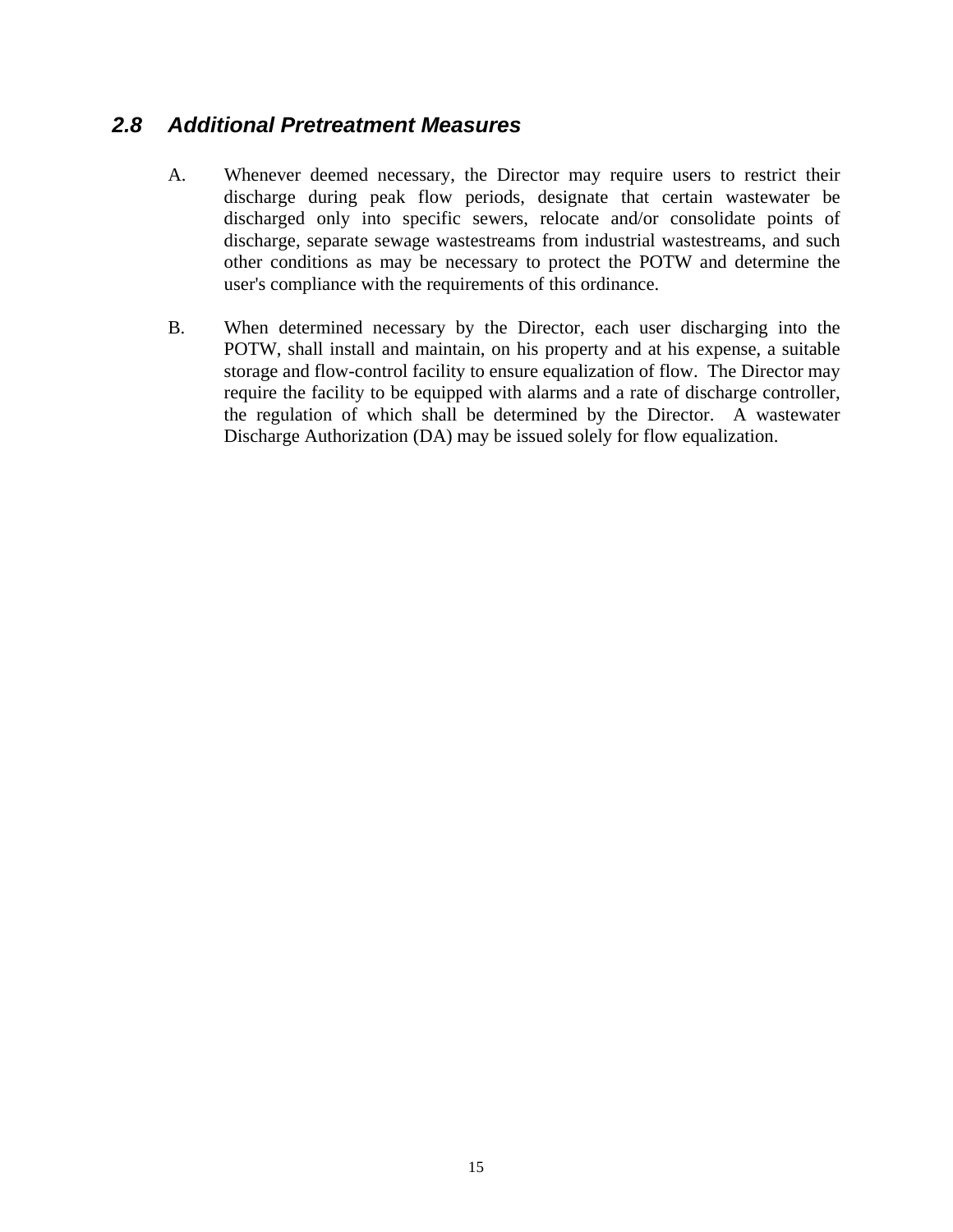#### <span id="page-18-0"></span>*2.8 Additional Pretreatment Measures*

- A. Whenever deemed necessary, the Director may require users to restrict their discharge during peak flow periods, designate that certain wastewater be discharged only into specific sewers, relocate and/or consolidate points of discharge, separate sewage wastestreams from industrial wastestreams, and such other conditions as may be necessary to protect the POTW and determine the user's compliance with the requirements of this ordinance.
- B. When determined necessary by the Director, each user discharging into the POTW, shall install and maintain, on his property and at his expense, a suitable storage and flow-control facility to ensure equalization of flow. The Director may require the facility to be equipped with alarms and a rate of discharge controller, the regulation of which shall be determined by the Director. A wastewater Discharge Authorization (DA) may be issued solely for flow equalization.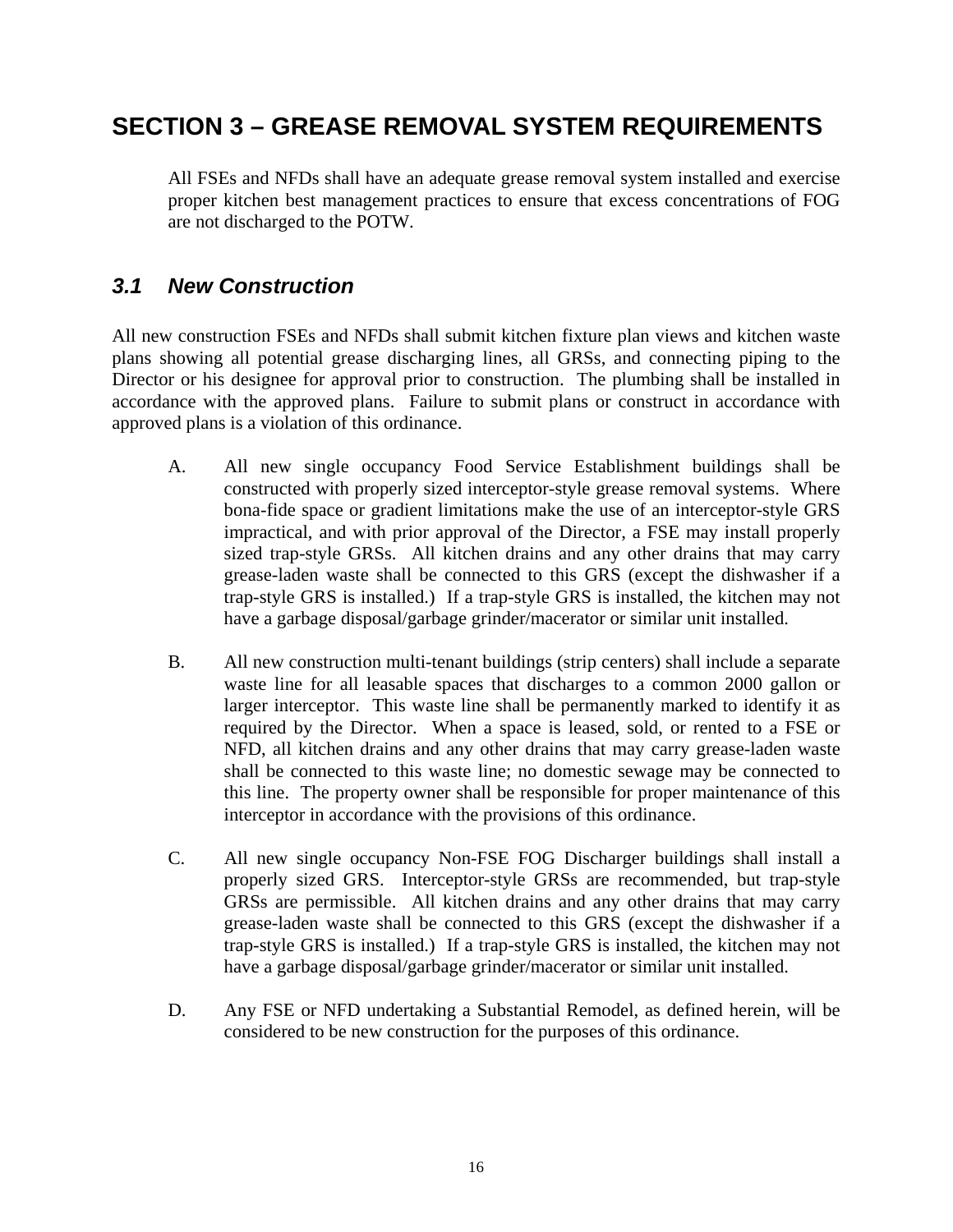# <span id="page-19-0"></span>**SECTION 3 – GREASE REMOVAL SYSTEM REQUIREMENTS**

 All FSEs and NFDs shall have an adequate grease removal system installed and exercise proper kitchen best management practices to ensure that excess concentrations of FOG are not discharged to the POTW.

## *3.1 New Construction*

All new construction FSEs and NFDs shall submit kitchen fixture plan views and kitchen waste plans showing all potential grease discharging lines, all GRSs, and connecting piping to the Director or his designee for approval prior to construction. The plumbing shall be installed in accordance with the approved plans. Failure to submit plans or construct in accordance with approved plans is a violation of this ordinance.

- A. All new single occupancy Food Service Establishment buildings shall be constructed with properly sized interceptor-style grease removal systems. Where bona-fide space or gradient limitations make the use of an interceptor-style GRS impractical, and with prior approval of the Director, a FSE may install properly sized trap-style GRSs. All kitchen drains and any other drains that may carry grease-laden waste shall be connected to this GRS (except the dishwasher if a trap-style GRS is installed.) If a trap-style GRS is installed, the kitchen may not have a garbage disposal/garbage grinder/macerator or similar unit installed.
- B. All new construction multi-tenant buildings (strip centers) shall include a separate waste line for all leasable spaces that discharges to a common 2000 gallon or larger interceptor. This waste line shall be permanently marked to identify it as required by the Director. When a space is leased, sold, or rented to a FSE or NFD, all kitchen drains and any other drains that may carry grease-laden waste shall be connected to this waste line; no domestic sewage may be connected to this line. The property owner shall be responsible for proper maintenance of this interceptor in accordance with the provisions of this ordinance.
- C. All new single occupancy Non-FSE FOG Discharger buildings shall install a properly sized GRS. Interceptor-style GRSs are recommended, but trap-style GRSs are permissible. All kitchen drains and any other drains that may carry grease-laden waste shall be connected to this GRS (except the dishwasher if a trap-style GRS is installed.) If a trap-style GRS is installed, the kitchen may not have a garbage disposal/garbage grinder/macerator or similar unit installed.
- D. Any FSE or NFD undertaking a Substantial Remodel, as defined herein, will be considered to be new construction for the purposes of this ordinance.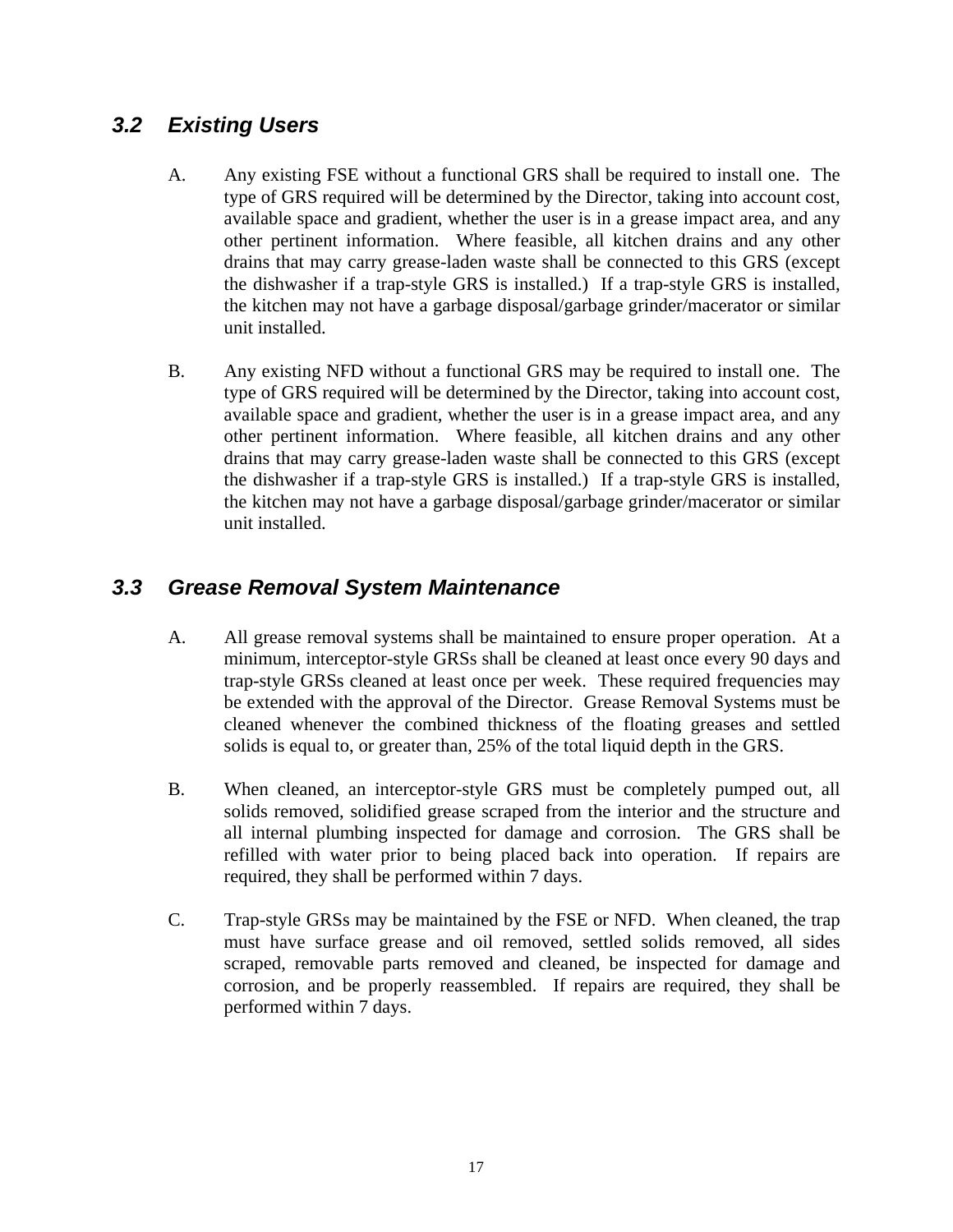## <span id="page-20-0"></span>*3.2 Existing Users*

- A. Any existing FSE without a functional GRS shall be required to install one. The type of GRS required will be determined by the Director, taking into account cost, available space and gradient, whether the user is in a grease impact area, and any other pertinent information. Where feasible, all kitchen drains and any other drains that may carry grease-laden waste shall be connected to this GRS (except the dishwasher if a trap-style GRS is installed.) If a trap-style GRS is installed, the kitchen may not have a garbage disposal/garbage grinder/macerator or similar unit installed.
- B. Any existing NFD without a functional GRS may be required to install one. The type of GRS required will be determined by the Director, taking into account cost, available space and gradient, whether the user is in a grease impact area, and any other pertinent information. Where feasible, all kitchen drains and any other drains that may carry grease-laden waste shall be connected to this GRS (except the dishwasher if a trap-style GRS is installed.) If a trap-style GRS is installed, the kitchen may not have a garbage disposal/garbage grinder/macerator or similar unit installed.

## *3.3 Grease Removal System Maintenance*

- A. All grease removal systems shall be maintained to ensure proper operation. At a minimum, interceptor-style GRSs shall be cleaned at least once every 90 days and trap-style GRSs cleaned at least once per week. These required frequencies may be extended with the approval of the Director. Grease Removal Systems must be cleaned whenever the combined thickness of the floating greases and settled solids is equal to, or greater than, 25% of the total liquid depth in the GRS.
- B. When cleaned, an interceptor-style GRS must be completely pumped out, all solids removed, solidified grease scraped from the interior and the structure and all internal plumbing inspected for damage and corrosion. The GRS shall be refilled with water prior to being placed back into operation. If repairs are required, they shall be performed within 7 days.
- C. Trap-style GRSs may be maintained by the FSE or NFD. When cleaned, the trap must have surface grease and oil removed, settled solids removed, all sides scraped, removable parts removed and cleaned, be inspected for damage and corrosion, and be properly reassembled. If repairs are required, they shall be performed within 7 days.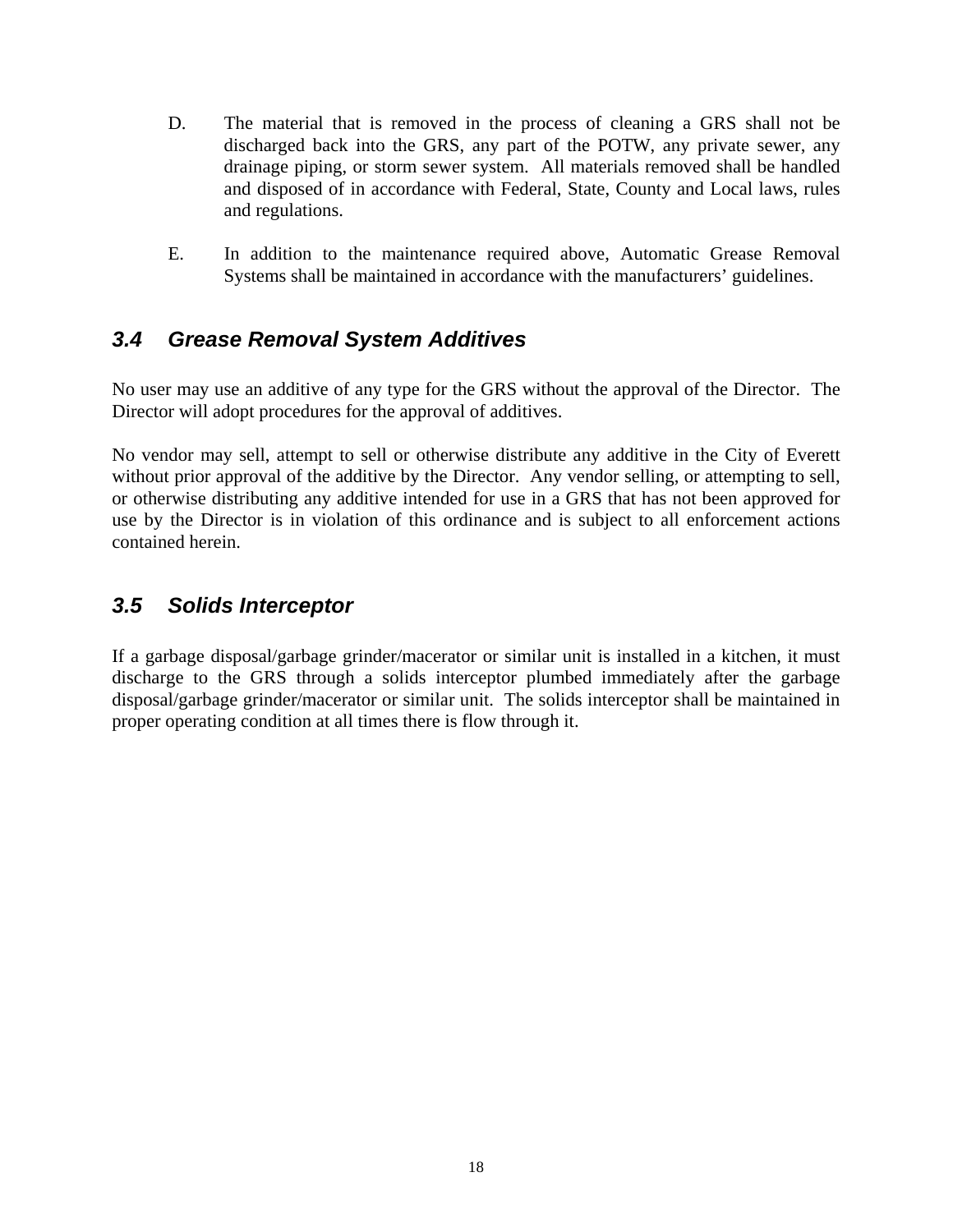- <span id="page-21-0"></span> D. The material that is removed in the process of cleaning a GRS shall not be discharged back into the GRS, any part of the POTW, any private sewer, any drainage piping, or storm sewer system. All materials removed shall be handled and disposed of in accordance with Federal, State, County and Local laws, rules and regulations.
- E. In addition to the maintenance required above, Automatic Grease Removal Systems shall be maintained in accordance with the manufacturers' guidelines.

## *3.4 Grease Removal System Additives*

No user may use an additive of any type for the GRS without the approval of the Director. The Director will adopt procedures for the approval of additives.

No vendor may sell, attempt to sell or otherwise distribute any additive in the City of Everett without prior approval of the additive by the Director. Any vendor selling, or attempting to sell, or otherwise distributing any additive intended for use in a GRS that has not been approved for use by the Director is in violation of this ordinance and is subject to all enforcement actions contained herein.

#### *3.5 Solids Interceptor*

If a garbage disposal/garbage grinder/macerator or similar unit is installed in a kitchen, it must discharge to the GRS through a solids interceptor plumbed immediately after the garbage disposal/garbage grinder/macerator or similar unit. The solids interceptor shall be maintained in proper operating condition at all times there is flow through it.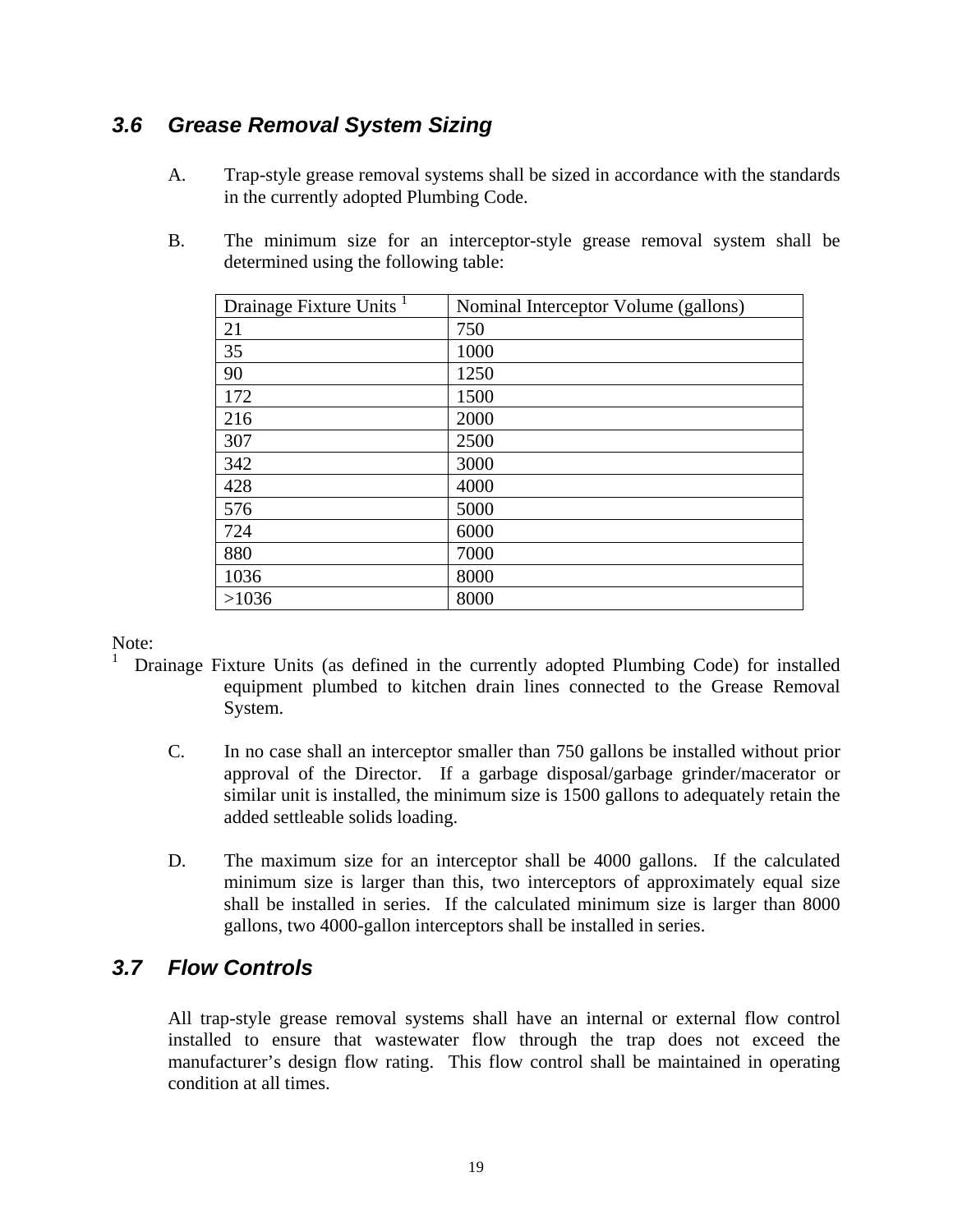## <span id="page-22-0"></span>*3.6 Grease Removal System Sizing*

- A. Trap-style grease removal systems shall be sized in accordance with the standards in the currently adopted Plumbing Code.
- B. The minimum size for an interceptor-style grease removal system shall be determined using the following table:

| Drainage Fixture Units <sup>1</sup> | Nominal Interceptor Volume (gallons) |
|-------------------------------------|--------------------------------------|
| 21                                  | 750                                  |
| 35                                  | 1000                                 |
| 90                                  | 1250                                 |
| 172                                 | 1500                                 |
| 216                                 | 2000                                 |
| 307                                 | 2500                                 |
| 342                                 | 3000                                 |
| 428                                 | 4000                                 |
| 576                                 | 5000                                 |
| 724                                 | 6000                                 |
| 880                                 | 7000                                 |
| 1036                                | 8000                                 |
| >1036                               | 8000                                 |

Note: 1

- Drainage Fixture Units (as defined in the currently adopted Plumbing Code) for installed equipment plumbed to kitchen drain lines connected to the Grease Removal System.
	- C. In no case shall an interceptor smaller than 750 gallons be installed without prior approval of the Director. If a garbage disposal/garbage grinder/macerator or similar unit is installed, the minimum size is 1500 gallons to adequately retain the added settleable solids loading.
	- D. The maximum size for an interceptor shall be 4000 gallons. If the calculated minimum size is larger than this, two interceptors of approximately equal size shall be installed in series. If the calculated minimum size is larger than 8000 gallons, two 4000-gallon interceptors shall be installed in series.

### *3.7 Flow Controls*

 All trap-style grease removal systems shall have an internal or external flow control installed to ensure that wastewater flow through the trap does not exceed the manufacturer's design flow rating. This flow control shall be maintained in operating condition at all times.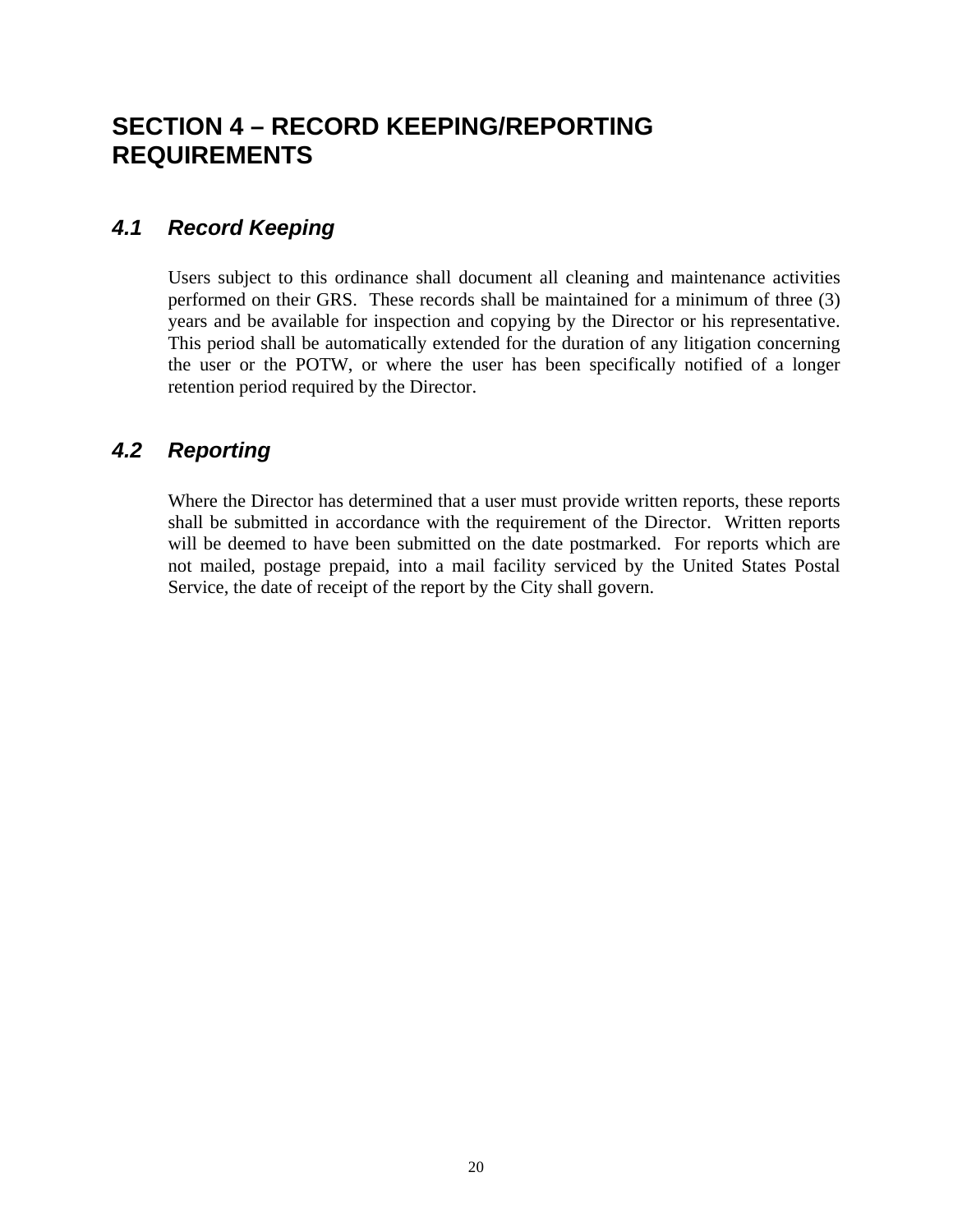# <span id="page-23-0"></span>**SECTION 4 – RECORD KEEPING/REPORTING REQUIREMENTS**

#### *4.1 Record Keeping*

Users subject to this ordinance shall document all cleaning and maintenance activities performed on their GRS. These records shall be maintained for a minimum of three (3) years and be available for inspection and copying by the Director or his representative. This period shall be automatically extended for the duration of any litigation concerning the user or the POTW, or where the user has been specifically notified of a longer retention period required by the Director.

### *4.2 Reporting*

Where the Director has determined that a user must provide written reports, these reports shall be submitted in accordance with the requirement of the Director. Written reports will be deemed to have been submitted on the date postmarked. For reports which are not mailed, postage prepaid, into a mail facility serviced by the United States Postal Service, the date of receipt of the report by the City shall govern.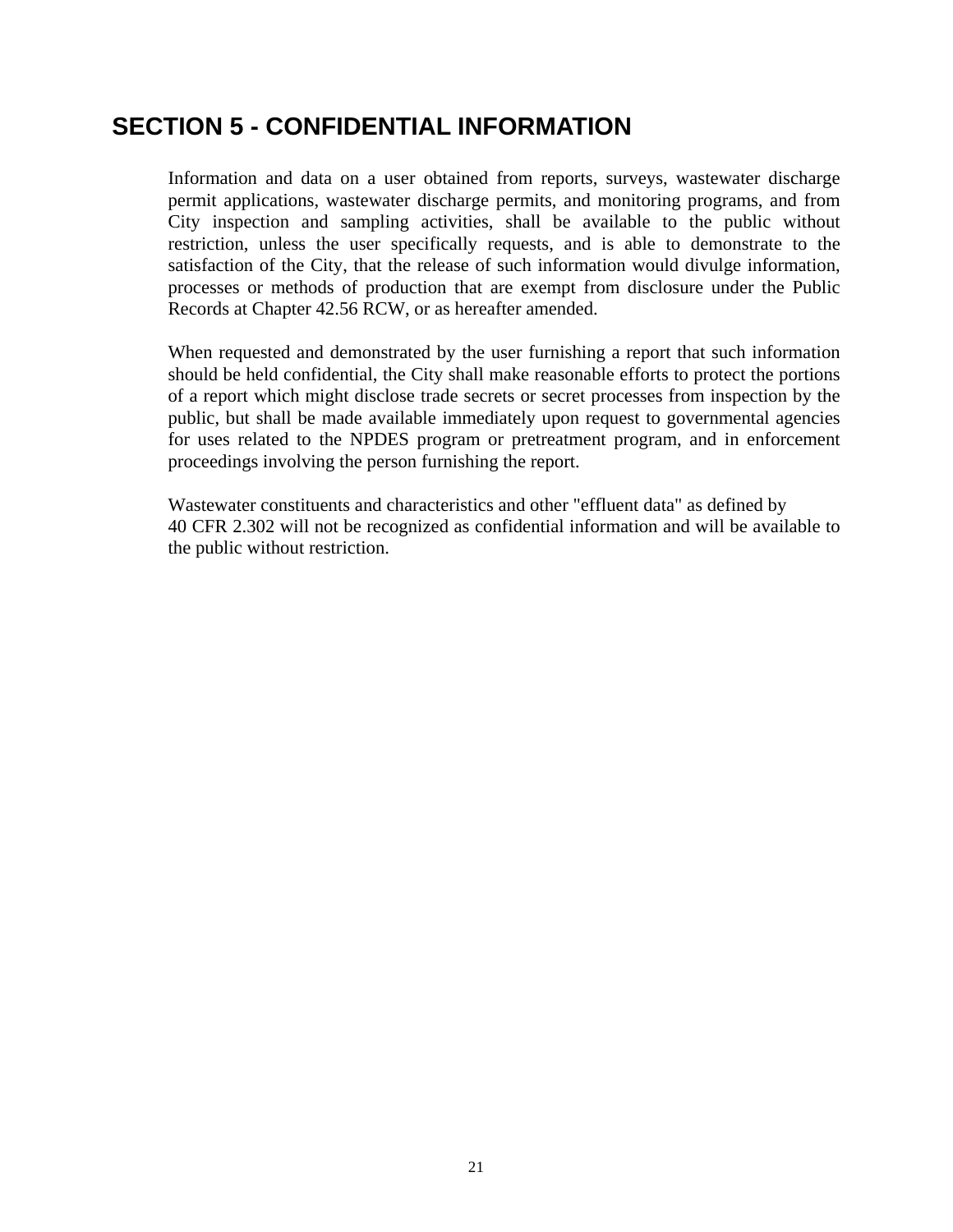## <span id="page-24-0"></span>**SECTION 5 - CONFIDENTIAL INFORMATION**

Information and data on a user obtained from reports, surveys, wastewater discharge permit applications, wastewater discharge permits, and monitoring programs, and from City inspection and sampling activities, shall be available to the public without restriction, unless the user specifically requests, and is able to demonstrate to the satisfaction of the City, that the release of such information would divulge information, processes or methods of production that are exempt from disclosure under the Public Records at Chapter 42.56 RCW, or as hereafter amended.

When requested and demonstrated by the user furnishing a report that such information should be held confidential, the City shall make reasonable efforts to protect the portions of a report which might disclose trade secrets or secret processes from inspection by the public, but shall be made available immediately upon request to governmental agencies for uses related to the NPDES program or pretreatment program, and in enforcement proceedings involving the person furnishing the report.

Wastewater constituents and characteristics and other "effluent data" as defined by 40 CFR 2.302 will not be recognized as confidential information and will be available to the public without restriction.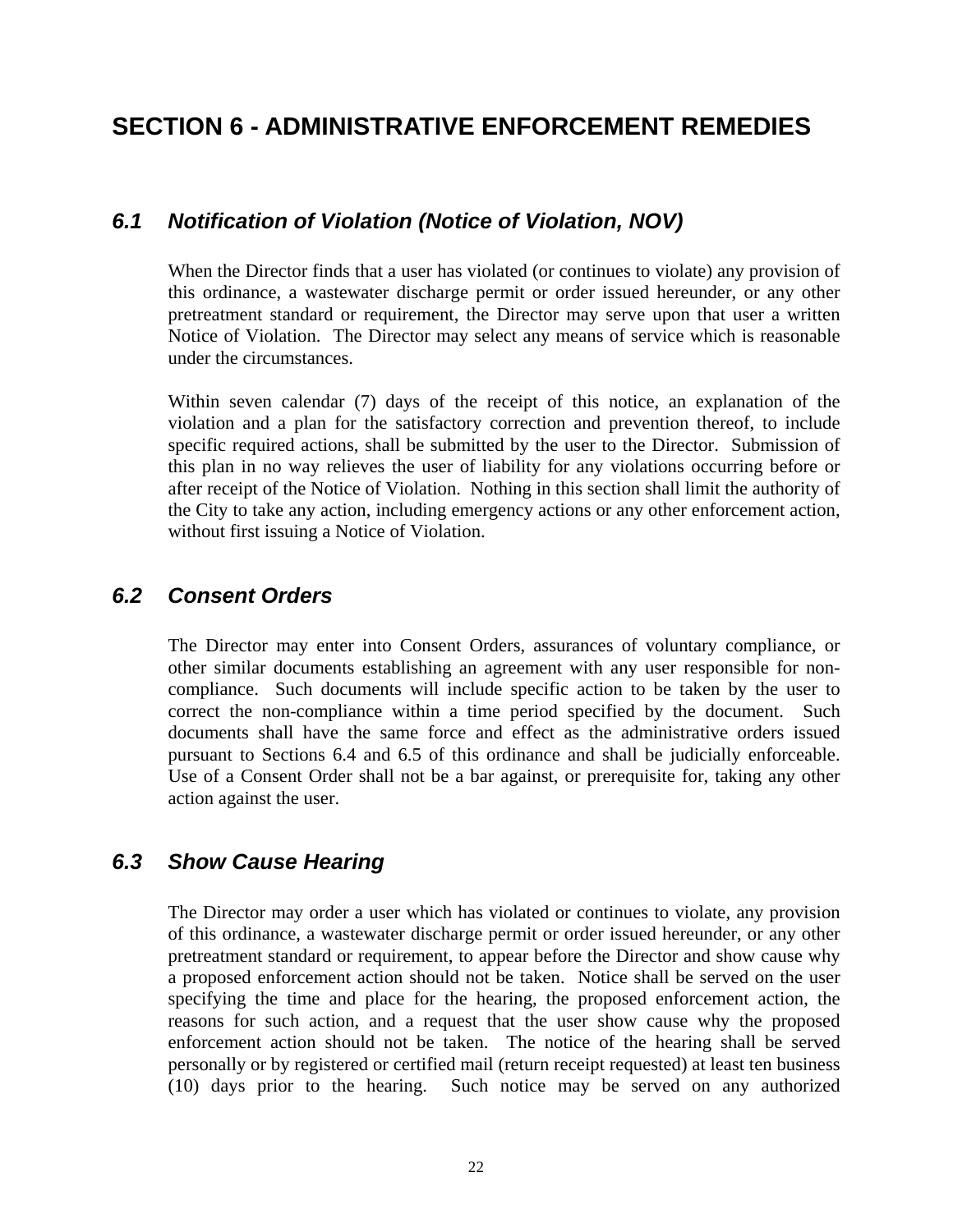## <span id="page-25-0"></span>**SECTION 6 - ADMINISTRATIVE ENFORCEMENT REMEDIES**

#### *6.1 Notification of Violation (Notice of Violation, NOV)*

When the Director finds that a user has violated (or continues to violate) any provision of this ordinance, a wastewater discharge permit or order issued hereunder, or any other pretreatment standard or requirement, the Director may serve upon that user a written Notice of Violation. The Director may select any means of service which is reasonable under the circumstances.

Within seven calendar (7) days of the receipt of this notice, an explanation of the violation and a plan for the satisfactory correction and prevention thereof, to include specific required actions, shall be submitted by the user to the Director. Submission of this plan in no way relieves the user of liability for any violations occurring before or after receipt of the Notice of Violation. Nothing in this section shall limit the authority of the City to take any action, including emergency actions or any other enforcement action, without first issuing a Notice of Violation.

#### *6.2 Consent Orders*

The Director may enter into Consent Orders, assurances of voluntary compliance, or other similar documents establishing an agreement with any user responsible for noncompliance. Such documents will include specific action to be taken by the user to correct the non-compliance within a time period specified by the document. Such documents shall have the same force and effect as the administrative orders issued pursuant to Sections 6.4 and 6.5 of this ordinance and shall be judicially enforceable. Use of a Consent Order shall not be a bar against, or prerequisite for, taking any other action against the user.

#### *6.3 Show Cause Hearing*

The Director may order a user which has violated or continues to violate, any provision of this ordinance, a wastewater discharge permit or order issued hereunder, or any other pretreatment standard or requirement, to appear before the Director and show cause why a proposed enforcement action should not be taken. Notice shall be served on the user specifying the time and place for the hearing, the proposed enforcement action, the reasons for such action, and a request that the user show cause why the proposed enforcement action should not be taken. The notice of the hearing shall be served personally or by registered or certified mail (return receipt requested) at least ten business (10) days prior to the hearing. Such notice may be served on any authorized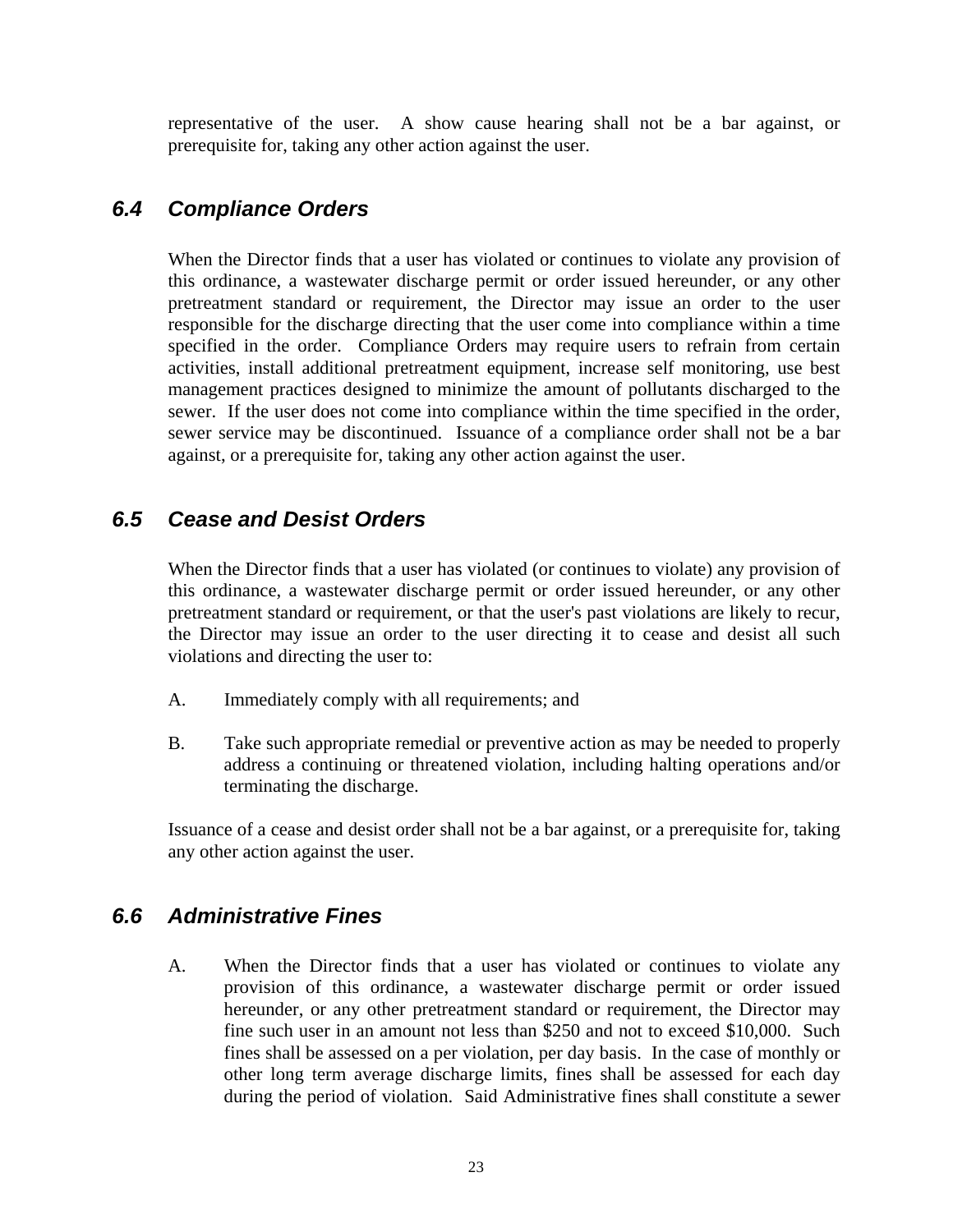<span id="page-26-0"></span>representative of the user. A show cause hearing shall not be a bar against, or prerequisite for, taking any other action against the user.

#### *6.4 Compliance Orders*

When the Director finds that a user has violated or continues to violate any provision of this ordinance, a wastewater discharge permit or order issued hereunder, or any other pretreatment standard or requirement, the Director may issue an order to the user responsible for the discharge directing that the user come into compliance within a time specified in the order. Compliance Orders may require users to refrain from certain activities, install additional pretreatment equipment, increase self monitoring, use best management practices designed to minimize the amount of pollutants discharged to the sewer. If the user does not come into compliance within the time specified in the order, sewer service may be discontinued. Issuance of a compliance order shall not be a bar against, or a prerequisite for, taking any other action against the user.

#### *6.5 Cease and Desist Orders*

When the Director finds that a user has violated (or continues to violate) any provision of this ordinance, a wastewater discharge permit or order issued hereunder, or any other pretreatment standard or requirement, or that the user's past violations are likely to recur, the Director may issue an order to the user directing it to cease and desist all such violations and directing the user to:

- A. Immediately comply with all requirements; and
- B. Take such appropriate remedial or preventive action as may be needed to properly address a continuing or threatened violation, including halting operations and/or terminating the discharge.

Issuance of a cease and desist order shall not be a bar against, or a prerequisite for, taking any other action against the user.

#### *6.6 Administrative Fines*

 A. When the Director finds that a user has violated or continues to violate any provision of this ordinance, a wastewater discharge permit or order issued hereunder, or any other pretreatment standard or requirement, the Director may fine such user in an amount not less than \$250 and not to exceed \$10,000. Such fines shall be assessed on a per violation, per day basis. In the case of monthly or other long term average discharge limits, fines shall be assessed for each day during the period of violation. Said Administrative fines shall constitute a sewer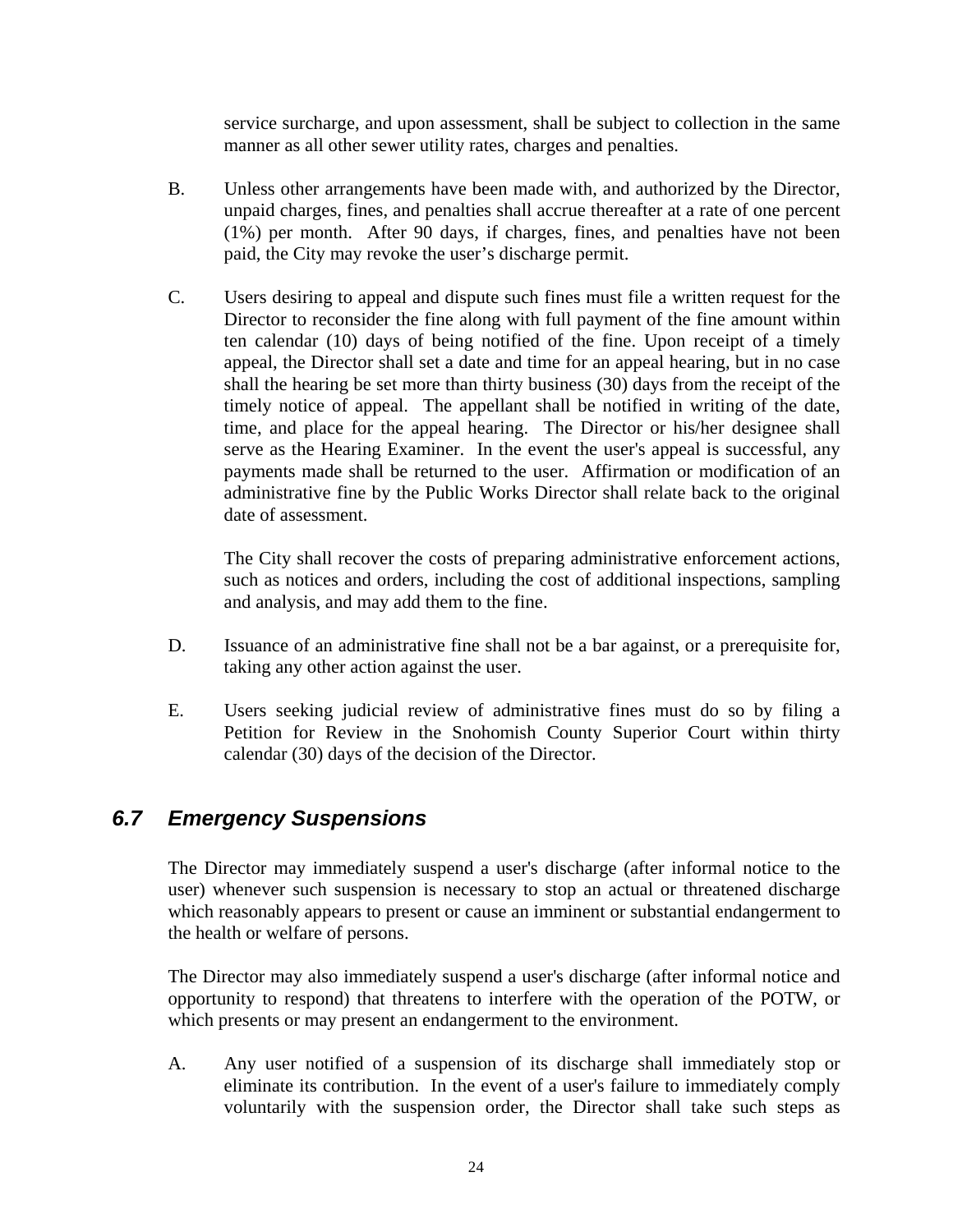service surcharge, and upon assessment, shall be subject to collection in the same manner as all other sewer utility rates, charges and penalties.

- <span id="page-27-0"></span> B. Unless other arrangements have been made with, and authorized by the Director, unpaid charges, fines, and penalties shall accrue thereafter at a rate of one percent (1%) per month. After 90 days, if charges, fines, and penalties have not been paid, the City may revoke the user's discharge permit.
- C. Users desiring to appeal and dispute such fines must file a written request for the Director to reconsider the fine along with full payment of the fine amount within ten calendar (10) days of being notified of the fine. Upon receipt of a timely appeal, the Director shall set a date and time for an appeal hearing, but in no case shall the hearing be set more than thirty business (30) days from the receipt of the timely notice of appeal. The appellant shall be notified in writing of the date, time, and place for the appeal hearing. The Director or his/her designee shall serve as the Hearing Examiner. In the event the user's appeal is successful, any payments made shall be returned to the user. Affirmation or modification of an administrative fine by the Public Works Director shall relate back to the original date of assessment.

The City shall recover the costs of preparing administrative enforcement actions, such as notices and orders, including the cost of additional inspections, sampling and analysis, and may add them to the fine.

- D. Issuance of an administrative fine shall not be a bar against, or a prerequisite for, taking any other action against the user.
- E. Users seeking judicial review of administrative fines must do so by filing a Petition for Review in the Snohomish County Superior Court within thirty calendar (30) days of the decision of the Director.

#### *6.7 Emergency Suspensions*

 The Director may immediately suspend a user's discharge (after informal notice to the user) whenever such suspension is necessary to stop an actual or threatened discharge which reasonably appears to present or cause an imminent or substantial endangerment to the health or welfare of persons.

The Director may also immediately suspend a user's discharge (after informal notice and opportunity to respond) that threatens to interfere with the operation of the POTW, or which presents or may present an endangerment to the environment.

 A. Any user notified of a suspension of its discharge shall immediately stop or eliminate its contribution. In the event of a user's failure to immediately comply voluntarily with the suspension order, the Director shall take such steps as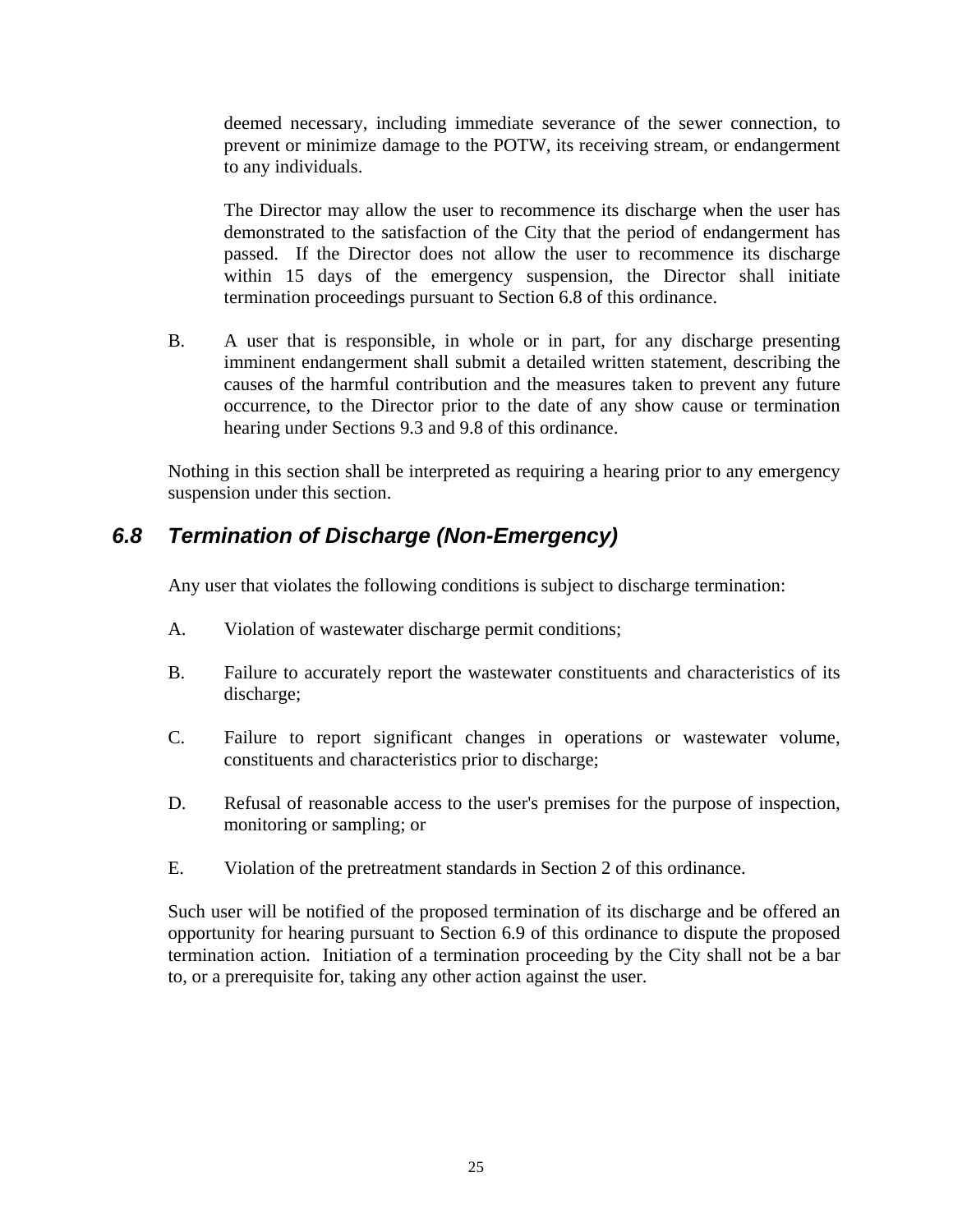<span id="page-28-0"></span>deemed necessary, including immediate severance of the sewer connection, to prevent or minimize damage to the POTW, its receiving stream, or endangerment to any individuals.

The Director may allow the user to recommence its discharge when the user has demonstrated to the satisfaction of the City that the period of endangerment has passed. If the Director does not allow the user to recommence its discharge within 15 days of the emergency suspension, the Director shall initiate termination proceedings pursuant to Section 6.8 of this ordinance.

 B. A user that is responsible, in whole or in part, for any discharge presenting imminent endangerment shall submit a detailed written statement, describing the causes of the harmful contribution and the measures taken to prevent any future occurrence, to the Director prior to the date of any show cause or termination hearing under Sections 9.3 and 9.8 of this ordinance.

Nothing in this section shall be interpreted as requiring a hearing prior to any emergency suspension under this section.

### *6.8 Termination of Discharge (Non-Emergency)*

Any user that violates the following conditions is subject to discharge termination:

- A. Violation of wastewater discharge permit conditions;
- B. Failure to accurately report the wastewater constituents and characteristics of its discharge;
- C. Failure to report significant changes in operations or wastewater volume, constituents and characteristics prior to discharge;
- D. Refusal of reasonable access to the user's premises for the purpose of inspection, monitoring or sampling; or
- E. Violation of the pretreatment standards in Section 2 of this ordinance.

 Such user will be notified of the proposed termination of its discharge and be offered an opportunity for hearing pursuant to Section 6.9 of this ordinance to dispute the proposed termination action. Initiation of a termination proceeding by the City shall not be a bar to, or a prerequisite for, taking any other action against the user.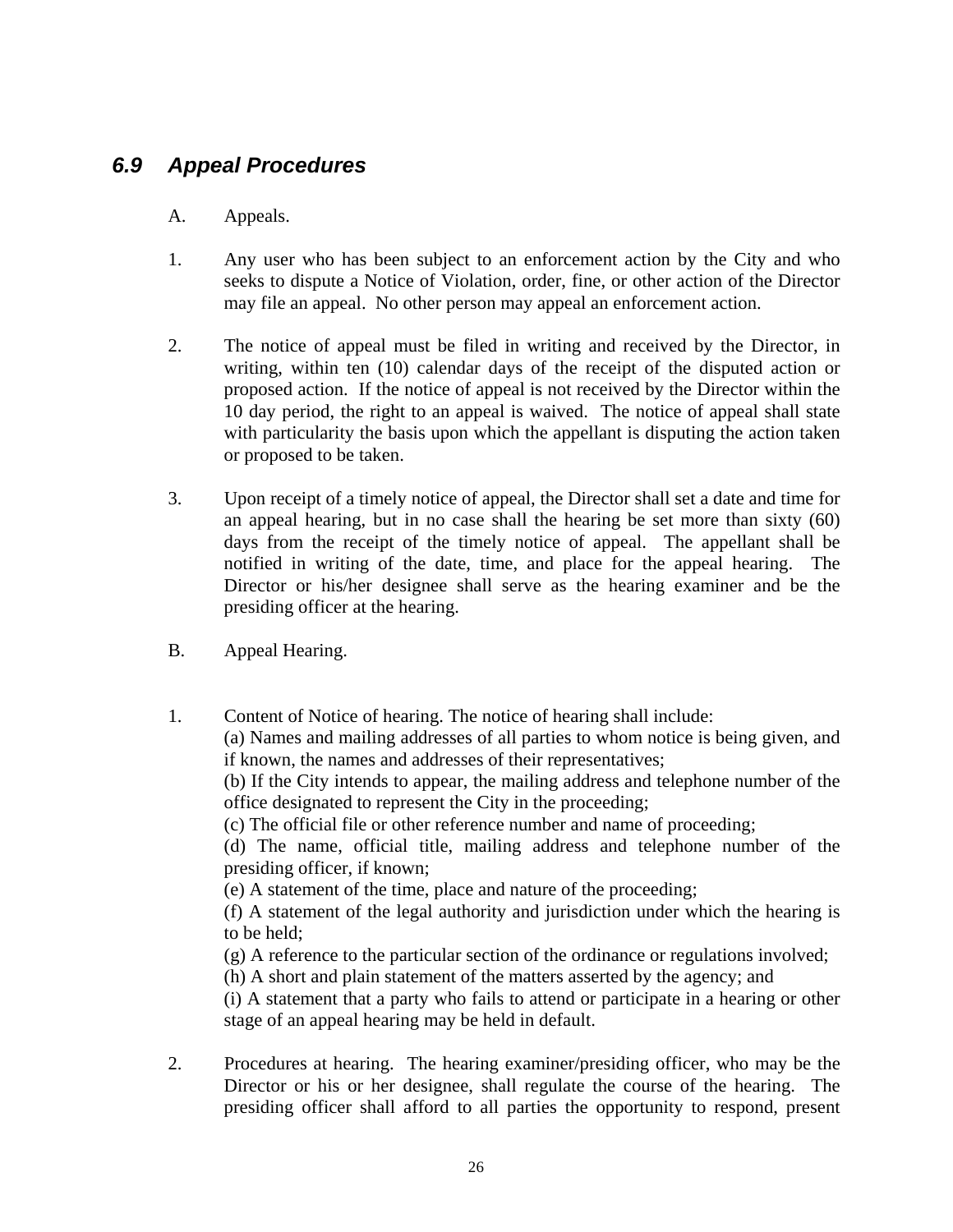#### <span id="page-29-0"></span>*6.9 Appeal Procedures*

#### A. Appeals.

- 1. Any user who has been subject to an enforcement action by the City and who seeks to dispute a Notice of Violation, order, fine, or other action of the Director may file an appeal. No other person may appeal an enforcement action.
- 2. The notice of appeal must be filed in writing and received by the Director, in writing, within ten (10) calendar days of the receipt of the disputed action or proposed action. If the notice of appeal is not received by the Director within the 10 day period, the right to an appeal is waived. The notice of appeal shall state with particularity the basis upon which the appellant is disputing the action taken or proposed to be taken.
- 3. Upon receipt of a timely notice of appeal, the Director shall set a date and time for an appeal hearing, but in no case shall the hearing be set more than sixty (60) days from the receipt of the timely notice of appeal. The appellant shall be notified in writing of the date, time, and place for the appeal hearing. The Director or his/her designee shall serve as the hearing examiner and be the presiding officer at the hearing.
- B. Appeal Hearing.
- 1. Content of Notice of hearing. The notice of hearing shall include:

(a) Names and mailing addresses of all parties to whom notice is being given, and if known, the names and addresses of their representatives;

(b) If the City intends to appear, the mailing address and telephone number of the office designated to represent the City in the proceeding;

(c) The official file or other reference number and name of proceeding;

(d) The name, official title, mailing address and telephone number of the presiding officer, if known;

(e) A statement of the time, place and nature of the proceeding;

(f) A statement of the legal authority and jurisdiction under which the hearing is to be held;

(g) A reference to the particular section of the ordinance or regulations involved;

(h) A short and plain statement of the matters asserted by the agency; and

(i) A statement that a party who fails to attend or participate in a hearing or other stage of an appeal hearing may be held in default.

 2. Procedures at hearing. The hearing examiner/presiding officer, who may be the Director or his or her designee, shall regulate the course of the hearing. The presiding officer shall afford to all parties the opportunity to respond, present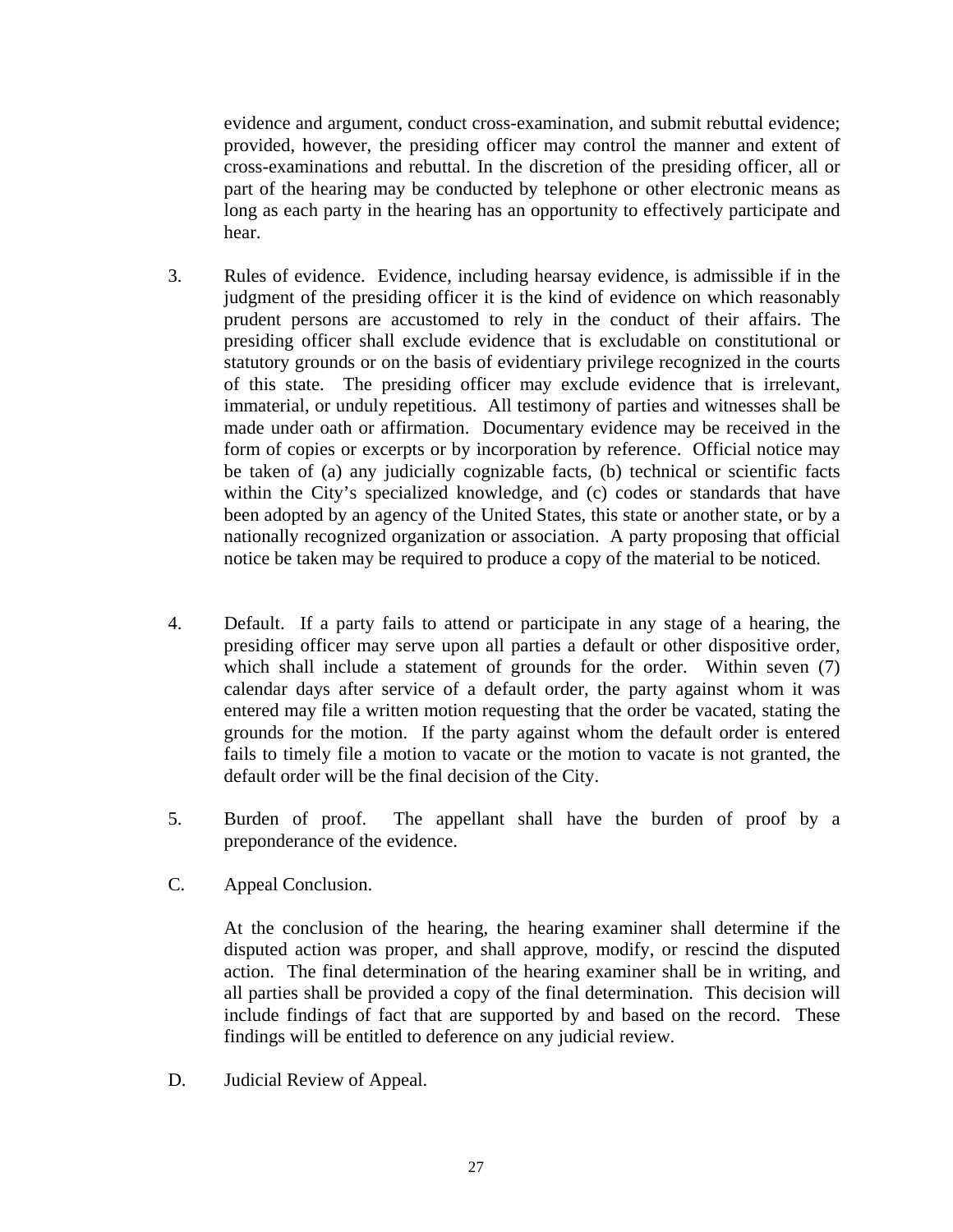evidence and argument, conduct cross-examination, and submit rebuttal evidence; provided, however, the presiding officer may control the manner and extent of cross-examinations and rebuttal. In the discretion of the presiding officer, all or part of the hearing may be conducted by telephone or other electronic means as long as each party in the hearing has an opportunity to effectively participate and hear.

- 3. Rules of evidence. Evidence, including hearsay evidence, is admissible if in the judgment of the presiding officer it is the kind of evidence on which reasonably prudent persons are accustomed to rely in the conduct of their affairs. The presiding officer shall exclude evidence that is excludable on constitutional or statutory grounds or on the basis of evidentiary privilege recognized in the courts of this state. The presiding officer may exclude evidence that is irrelevant, immaterial, or unduly repetitious. All testimony of parties and witnesses shall be made under oath or affirmation. Documentary evidence may be received in the form of copies or excerpts or by incorporation by reference. Official notice may be taken of (a) any judicially cognizable facts, (b) technical or scientific facts within the City's specialized knowledge, and (c) codes or standards that have been adopted by an agency of the United States, this state or another state, or by a nationally recognized organization or association. A party proposing that official notice be taken may be required to produce a copy of the material to be noticed.
- 4. Default. If a party fails to attend or participate in any stage of a hearing, the presiding officer may serve upon all parties a default or other dispositive order, which shall include a statement of grounds for the order. Within seven (7) calendar days after service of a default order, the party against whom it was entered may file a written motion requesting that the order be vacated, stating the grounds for the motion. If the party against whom the default order is entered fails to timely file a motion to vacate or the motion to vacate is not granted, the default order will be the final decision of the City.
- 5. Burden of proof. The appellant shall have the burden of proof by a preponderance of the evidence.
- C. Appeal Conclusion.

 At the conclusion of the hearing, the hearing examiner shall determine if the disputed action was proper, and shall approve, modify, or rescind the disputed action. The final determination of the hearing examiner shall be in writing, and all parties shall be provided a copy of the final determination. This decision will include findings of fact that are supported by and based on the record. These findings will be entitled to deference on any judicial review.

D. Judicial Review of Appeal.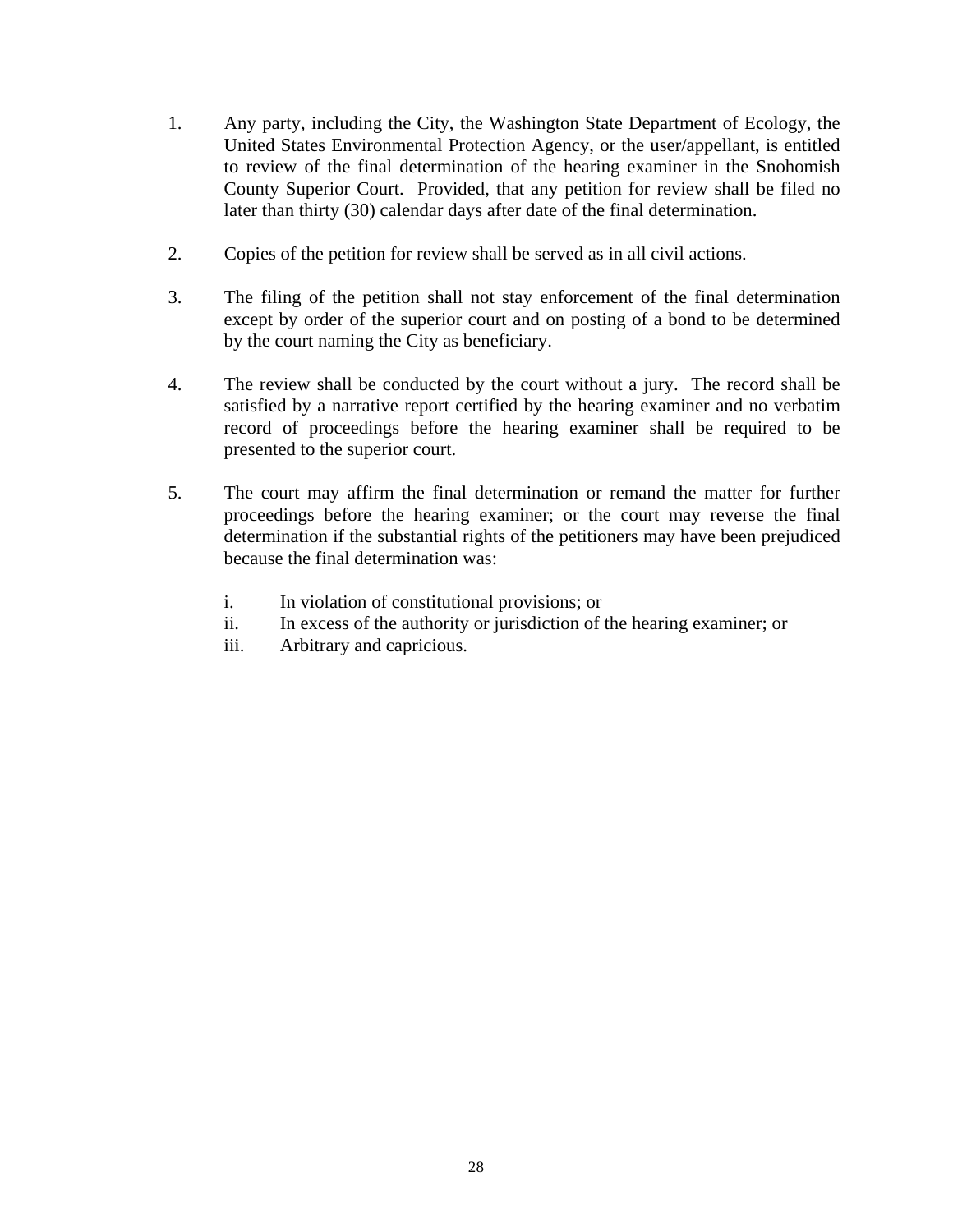- 1. Any party, including the City, the Washington State Department of Ecology, the United States Environmental Protection Agency, or the user/appellant, is entitled to review of the final determination of the hearing examiner in the Snohomish County Superior Court. Provided, that any petition for review shall be filed no later than thirty (30) calendar days after date of the final determination.
- 2. Copies of the petition for review shall be served as in all civil actions.
- 3. The filing of the petition shall not stay enforcement of the final determination except by order of the superior court and on posting of a bond to be determined by the court naming the City as beneficiary.
- 4. The review shall be conducted by the court without a jury. The record shall be satisfied by a narrative report certified by the hearing examiner and no verbatim record of proceedings before the hearing examiner shall be required to be presented to the superior court.
- 5. The court may affirm the final determination or remand the matter for further proceedings before the hearing examiner; or the court may reverse the final determination if the substantial rights of the petitioners may have been prejudiced because the final determination was:
	- i. In violation of constitutional provisions; or
	- ii. In excess of the authority or jurisdiction of the hearing examiner; or
	- iii. Arbitrary and capricious.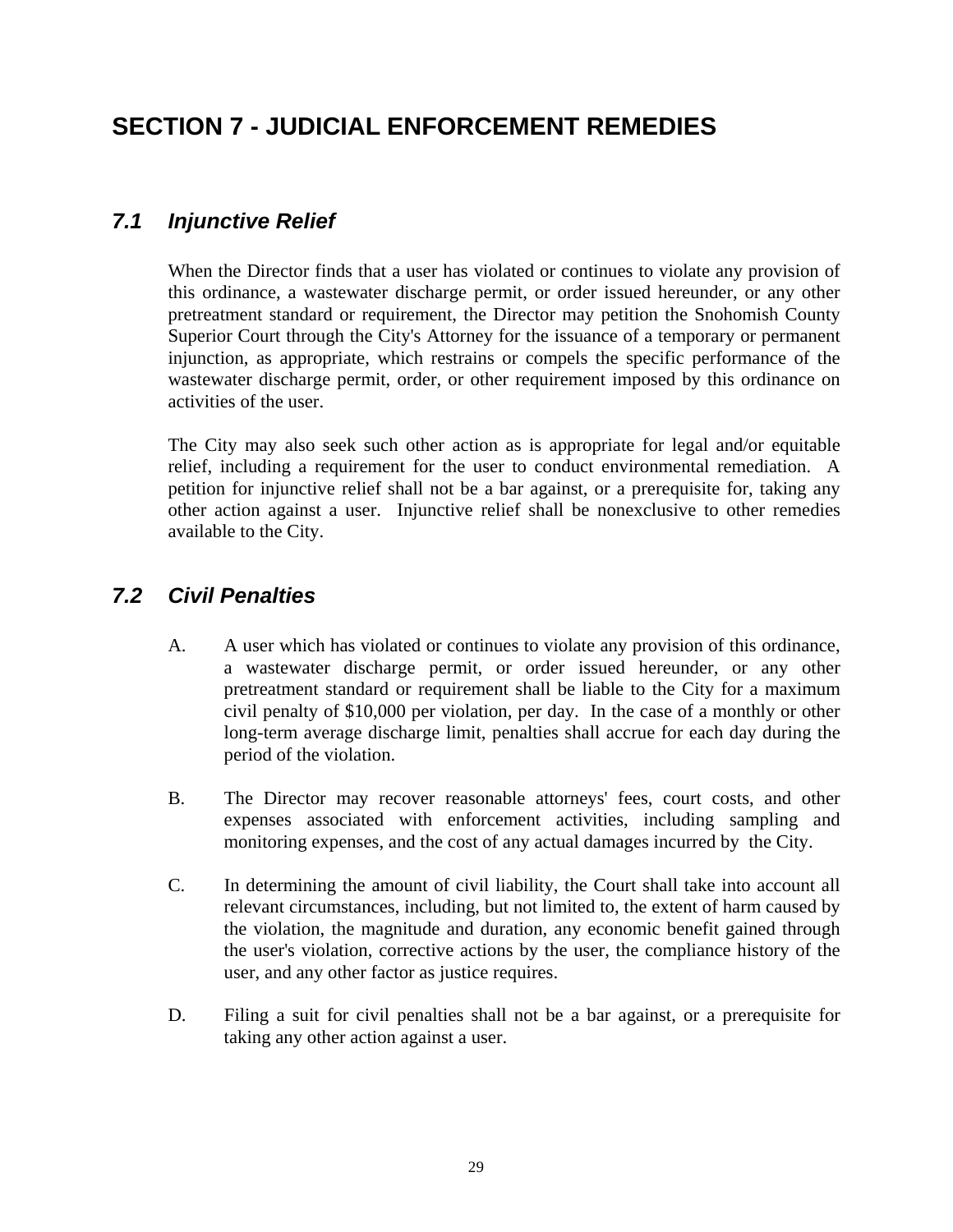# <span id="page-32-0"></span>**SECTION 7 - JUDICIAL ENFORCEMENT REMEDIES**

## *7.1 Injunctive Relief*

 When the Director finds that a user has violated or continues to violate any provision of this ordinance, a wastewater discharge permit, or order issued hereunder, or any other pretreatment standard or requirement, the Director may petition the Snohomish County Superior Court through the City's Attorney for the issuance of a temporary or permanent injunction, as appropriate, which restrains or compels the specific performance of the wastewater discharge permit, order, or other requirement imposed by this ordinance on activities of the user.

 The City may also seek such other action as is appropriate for legal and/or equitable relief, including a requirement for the user to conduct environmental remediation. A petition for injunctive relief shall not be a bar against, or a prerequisite for, taking any other action against a user. Injunctive relief shall be nonexclusive to other remedies available to the City.

## *7.2 Civil Penalties*

- A. A user which has violated or continues to violate any provision of this ordinance, a wastewater discharge permit, or order issued hereunder, or any other pretreatment standard or requirement shall be liable to the City for a maximum civil penalty of \$10,000 per violation, per day. In the case of a monthly or other long-term average discharge limit, penalties shall accrue for each day during the period of the violation.
- B. The Director may recover reasonable attorneys' fees, court costs, and other expenses associated with enforcement activities, including sampling and monitoring expenses, and the cost of any actual damages incurred by the City.
- C. In determining the amount of civil liability, the Court shall take into account all relevant circumstances, including, but not limited to, the extent of harm caused by the violation, the magnitude and duration, any economic benefit gained through the user's violation, corrective actions by the user, the compliance history of the user, and any other factor as justice requires.
- D. Filing a suit for civil penalties shall not be a bar against, or a prerequisite for taking any other action against a user.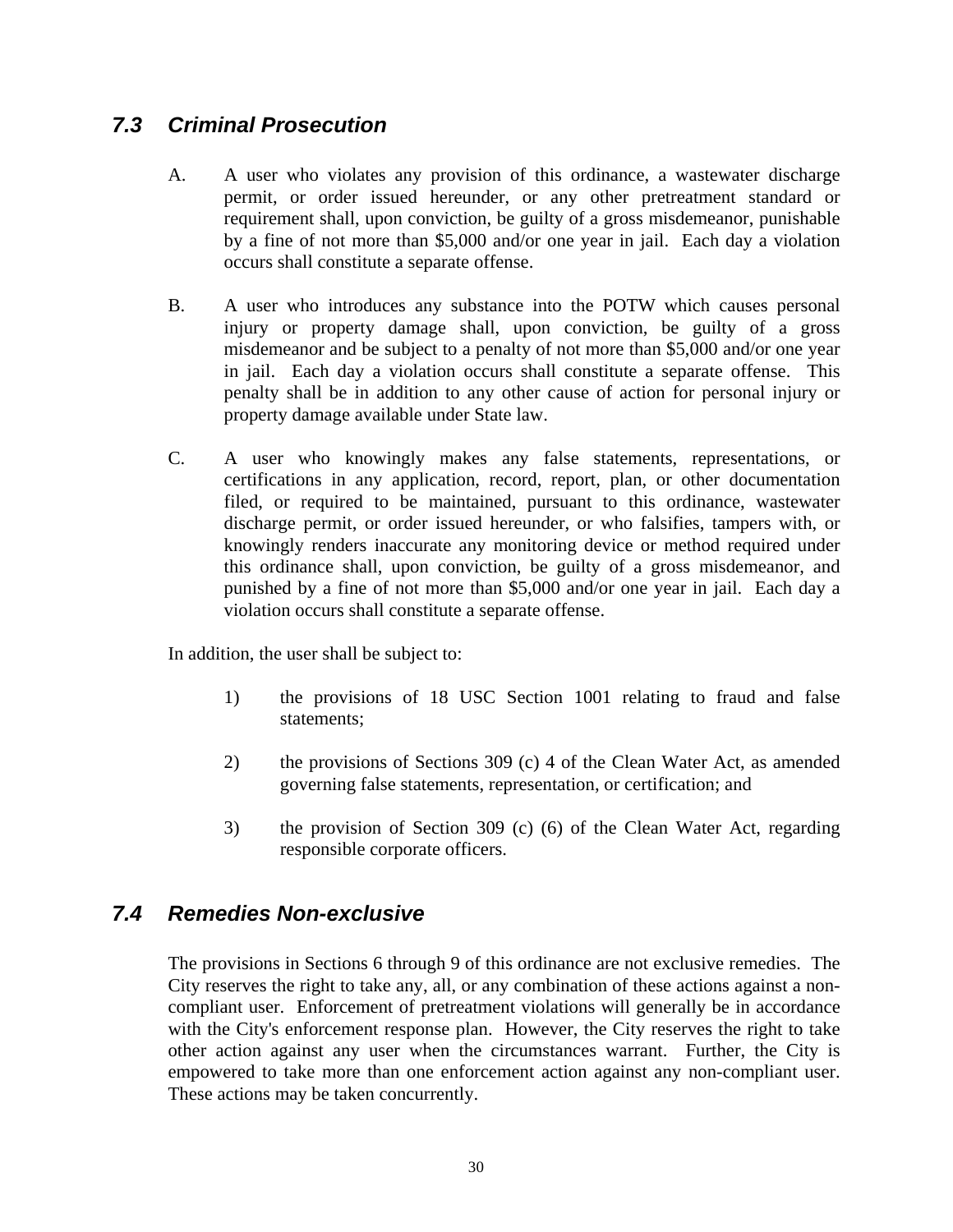### <span id="page-33-0"></span>*7.3 Criminal Prosecution*

- A. A user who violates any provision of this ordinance, a wastewater discharge permit, or order issued hereunder, or any other pretreatment standard or requirement shall, upon conviction, be guilty of a gross misdemeanor, punishable by a fine of not more than \$5,000 and/or one year in jail. Each day a violation occurs shall constitute a separate offense.
- B. A user who introduces any substance into the POTW which causes personal injury or property damage shall, upon conviction, be guilty of a gross misdemeanor and be subject to a penalty of not more than \$5,000 and/or one year in jail. Each day a violation occurs shall constitute a separate offense. This penalty shall be in addition to any other cause of action for personal injury or property damage available under State law.
- C. A user who knowingly makes any false statements, representations, or certifications in any application, record, report, plan, or other documentation filed, or required to be maintained, pursuant to this ordinance, wastewater discharge permit, or order issued hereunder, or who falsifies, tampers with, or knowingly renders inaccurate any monitoring device or method required under this ordinance shall, upon conviction, be guilty of a gross misdemeanor, and punished by a fine of not more than \$5,000 and/or one year in jail. Each day a violation occurs shall constitute a separate offense.

In addition, the user shall be subject to:

- 1) the provisions of 18 USC Section 1001 relating to fraud and false statements;
- 2) the provisions of Sections 309 (c) 4 of the Clean Water Act, as amended governing false statements, representation, or certification; and
- 3) the provision of Section 309 (c) (6) of the Clean Water Act, regarding responsible corporate officers.

### *7.4 Remedies Non-exclusive*

 The provisions in Sections 6 through 9 of this ordinance are not exclusive remedies. The City reserves the right to take any, all, or any combination of these actions against a noncompliant user. Enforcement of pretreatment violations will generally be in accordance with the City's enforcement response plan. However, the City reserves the right to take other action against any user when the circumstances warrant. Further, the City is empowered to take more than one enforcement action against any non-compliant user. These actions may be taken concurrently.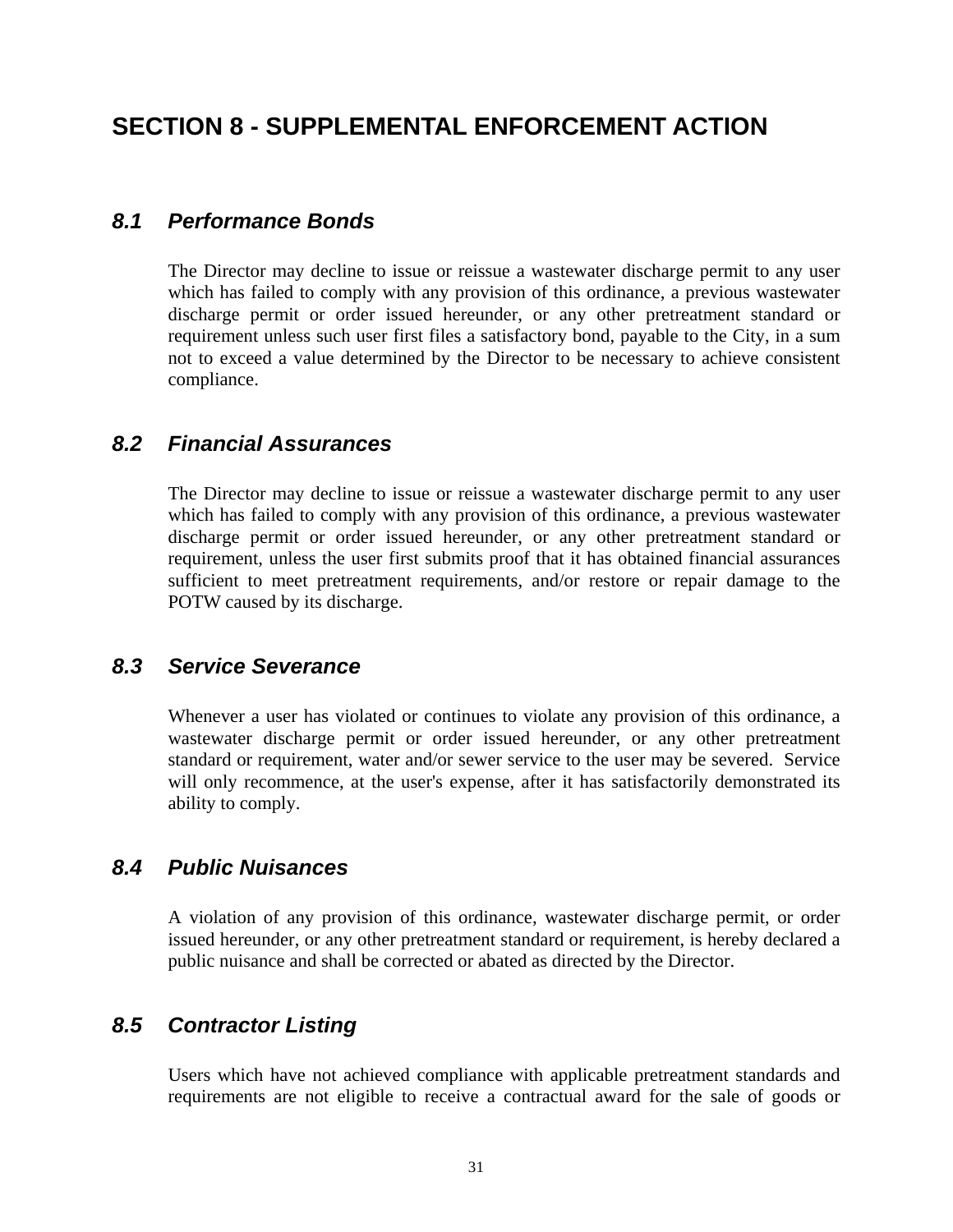## <span id="page-34-0"></span>**SECTION 8 - SUPPLEMENTAL ENFORCEMENT ACTION**

#### *8.1 Performance Bonds*

 The Director may decline to issue or reissue a wastewater discharge permit to any user which has failed to comply with any provision of this ordinance, a previous wastewater discharge permit or order issued hereunder, or any other pretreatment standard or requirement unless such user first files a satisfactory bond, payable to the City, in a sum not to exceed a value determined by the Director to be necessary to achieve consistent compliance.

#### *8.2 Financial Assurances*

 The Director may decline to issue or reissue a wastewater discharge permit to any user which has failed to comply with any provision of this ordinance, a previous wastewater discharge permit or order issued hereunder, or any other pretreatment standard or requirement, unless the user first submits proof that it has obtained financial assurances sufficient to meet pretreatment requirements, and/or restore or repair damage to the POTW caused by its discharge.

#### *8.3 Service Severance*

 Whenever a user has violated or continues to violate any provision of this ordinance, a wastewater discharge permit or order issued hereunder, or any other pretreatment standard or requirement, water and/or sewer service to the user may be severed. Service will only recommence, at the user's expense, after it has satisfactorily demonstrated its ability to comply.

#### *8.4 Public Nuisances*

 A violation of any provision of this ordinance, wastewater discharge permit, or order issued hereunder, or any other pretreatment standard or requirement, is hereby declared a public nuisance and shall be corrected or abated as directed by the Director.

#### *8.5 Contractor Listing*

 Users which have not achieved compliance with applicable pretreatment standards and requirements are not eligible to receive a contractual award for the sale of goods or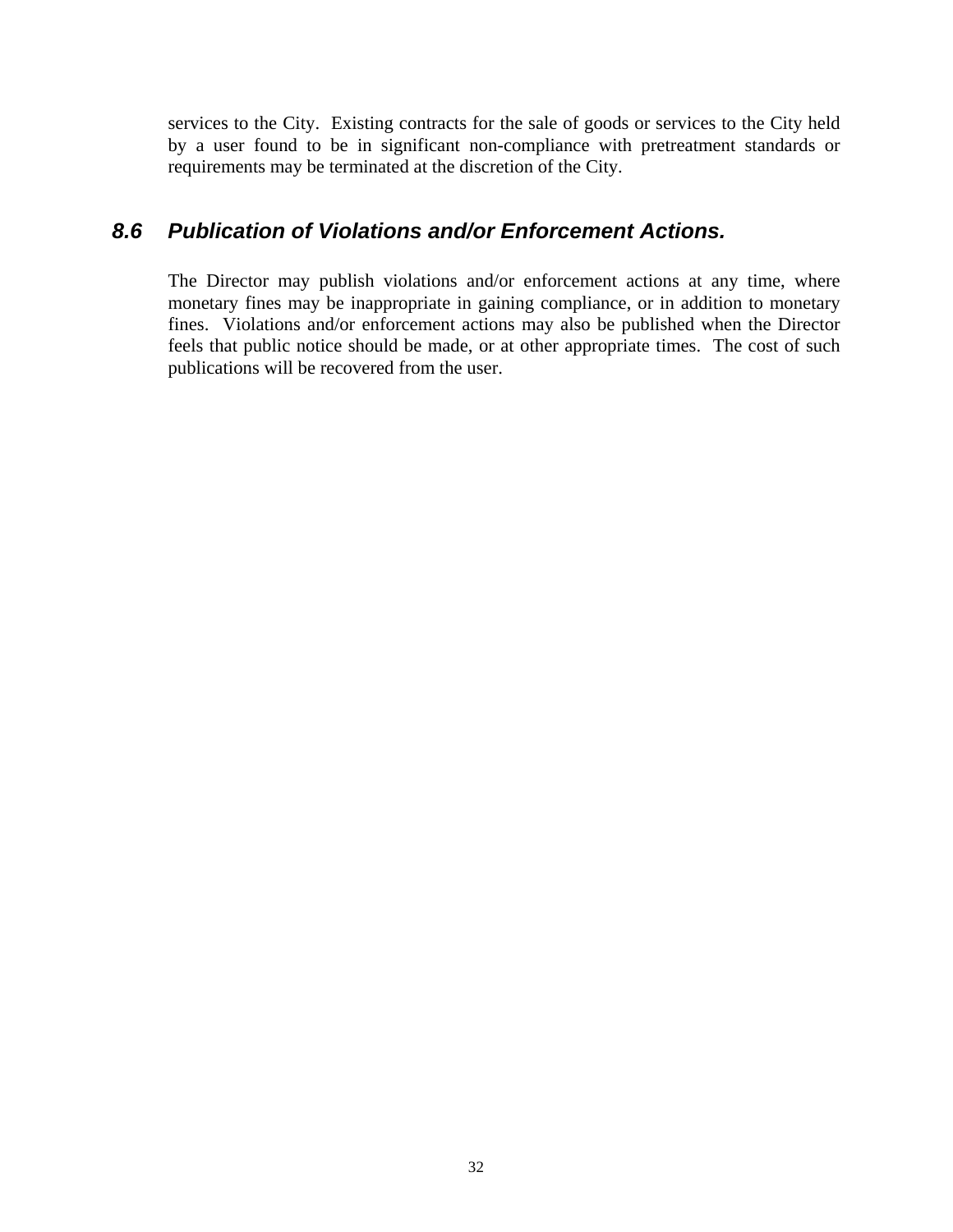<span id="page-35-0"></span>services to the City. Existing contracts for the sale of goods or services to the City held by a user found to be in significant non-compliance with pretreatment standards or requirements may be terminated at the discretion of the City.

#### *8.6 Publication of Violations and/or Enforcement Actions.*

 The Director may publish violations and/or enforcement actions at any time, where monetary fines may be inappropriate in gaining compliance, or in addition to monetary fines. Violations and/or enforcement actions may also be published when the Director feels that public notice should be made, or at other appropriate times. The cost of such publications will be recovered from the user.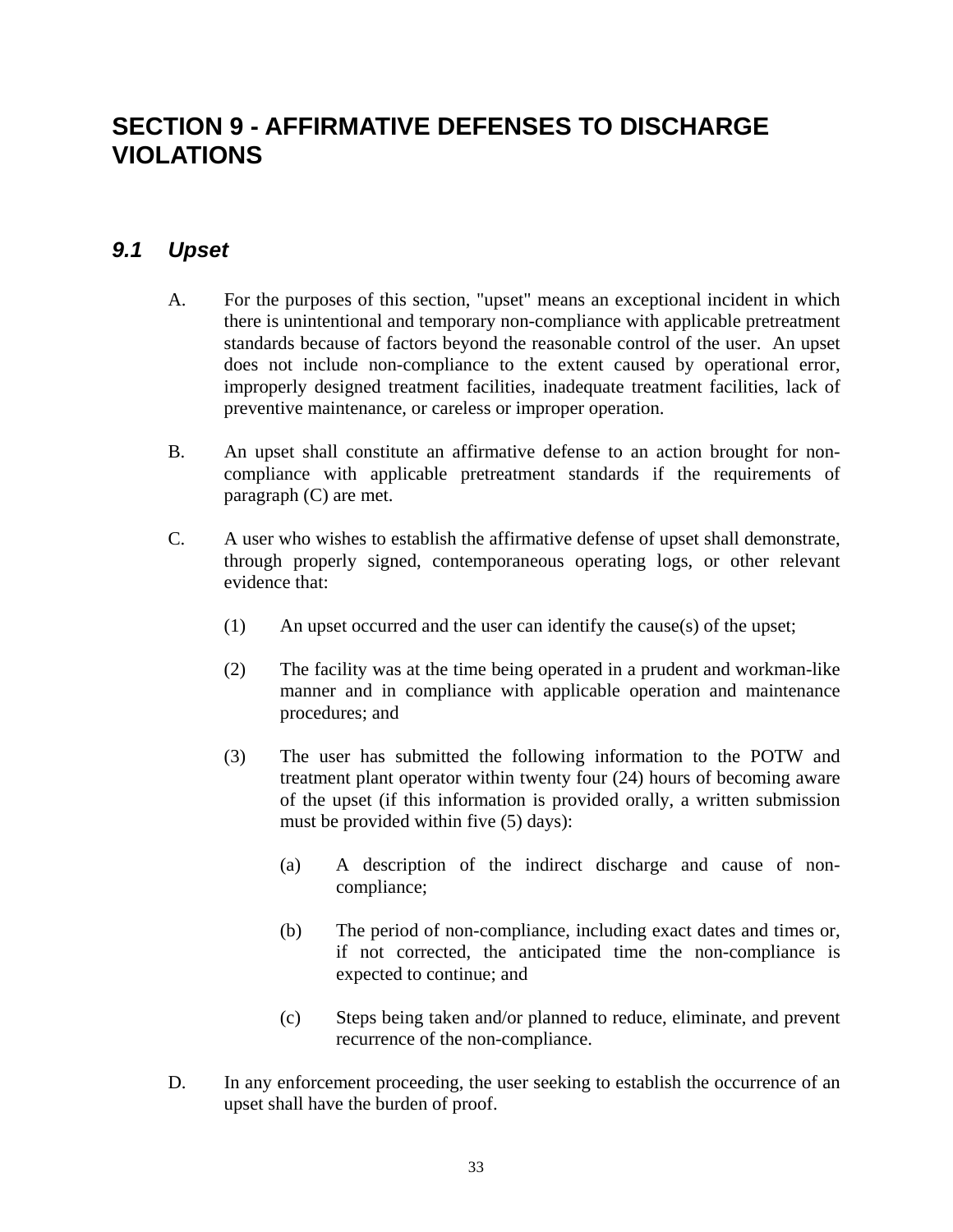# <span id="page-36-0"></span>**SECTION 9 - AFFIRMATIVE DEFENSES TO DISCHARGE VIOLATIONS**

#### *9.1 Upset*

- A. For the purposes of this section, "upset" means an exceptional incident in which there is unintentional and temporary non-compliance with applicable pretreatment standards because of factors beyond the reasonable control of the user. An upset does not include non-compliance to the extent caused by operational error, improperly designed treatment facilities, inadequate treatment facilities, lack of preventive maintenance, or careless or improper operation.
- B. An upset shall constitute an affirmative defense to an action brought for noncompliance with applicable pretreatment standards if the requirements of paragraph (C) are met.
- C. A user who wishes to establish the affirmative defense of upset shall demonstrate, through properly signed, contemporaneous operating logs, or other relevant evidence that:
	- (1) An upset occurred and the user can identify the cause(s) of the upset;
	- (2) The facility was at the time being operated in a prudent and workman-like manner and in compliance with applicable operation and maintenance procedures; and
	- (3) The user has submitted the following information to the POTW and treatment plant operator within twenty four (24) hours of becoming aware of the upset (if this information is provided orally, a written submission must be provided within five (5) days):
		- (a) A description of the indirect discharge and cause of noncompliance;
		- (b) The period of non-compliance, including exact dates and times or, if not corrected, the anticipated time the non-compliance is expected to continue; and
		- (c) Steps being taken and/or planned to reduce, eliminate, and prevent recurrence of the non-compliance.
- D. In any enforcement proceeding, the user seeking to establish the occurrence of an upset shall have the burden of proof.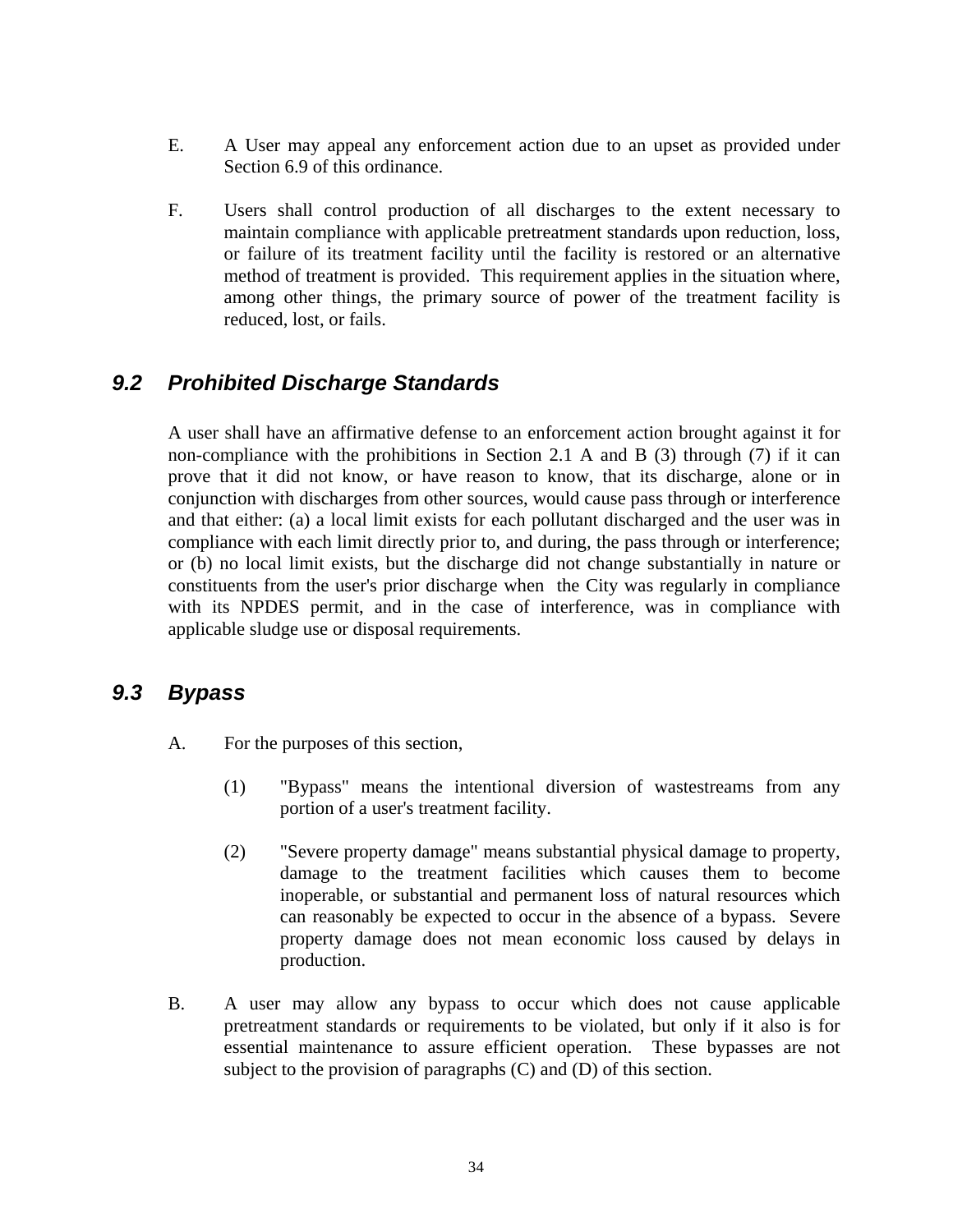- <span id="page-37-0"></span> E. A User may appeal any enforcement action due to an upset as provided under Section 6.9 of this ordinance.
- F. Users shall control production of all discharges to the extent necessary to maintain compliance with applicable pretreatment standards upon reduction, loss, or failure of its treatment facility until the facility is restored or an alternative method of treatment is provided. This requirement applies in the situation where, among other things, the primary source of power of the treatment facility is reduced, lost, or fails.

### *9.2 Prohibited Discharge Standards*

 A user shall have an affirmative defense to an enforcement action brought against it for non-compliance with the prohibitions in Section 2.1 A and B (3) through (7) if it can prove that it did not know, or have reason to know, that its discharge, alone or in conjunction with discharges from other sources, would cause pass through or interference and that either: (a) a local limit exists for each pollutant discharged and the user was in compliance with each limit directly prior to, and during, the pass through or interference; or (b) no local limit exists, but the discharge did not change substantially in nature or constituents from the user's prior discharge when the City was regularly in compliance with its NPDES permit, and in the case of interference, was in compliance with applicable sludge use or disposal requirements.

#### *9.3 Bypass*

- A. For the purposes of this section,
	- (1) "Bypass" means the intentional diversion of wastestreams from any portion of a user's treatment facility.
	- (2) "Severe property damage" means substantial physical damage to property, damage to the treatment facilities which causes them to become inoperable, or substantial and permanent loss of natural resources which can reasonably be expected to occur in the absence of a bypass. Severe property damage does not mean economic loss caused by delays in production.
- B. A user may allow any bypass to occur which does not cause applicable pretreatment standards or requirements to be violated, but only if it also is for essential maintenance to assure efficient operation. These bypasses are not subject to the provision of paragraphs (C) and (D) of this section.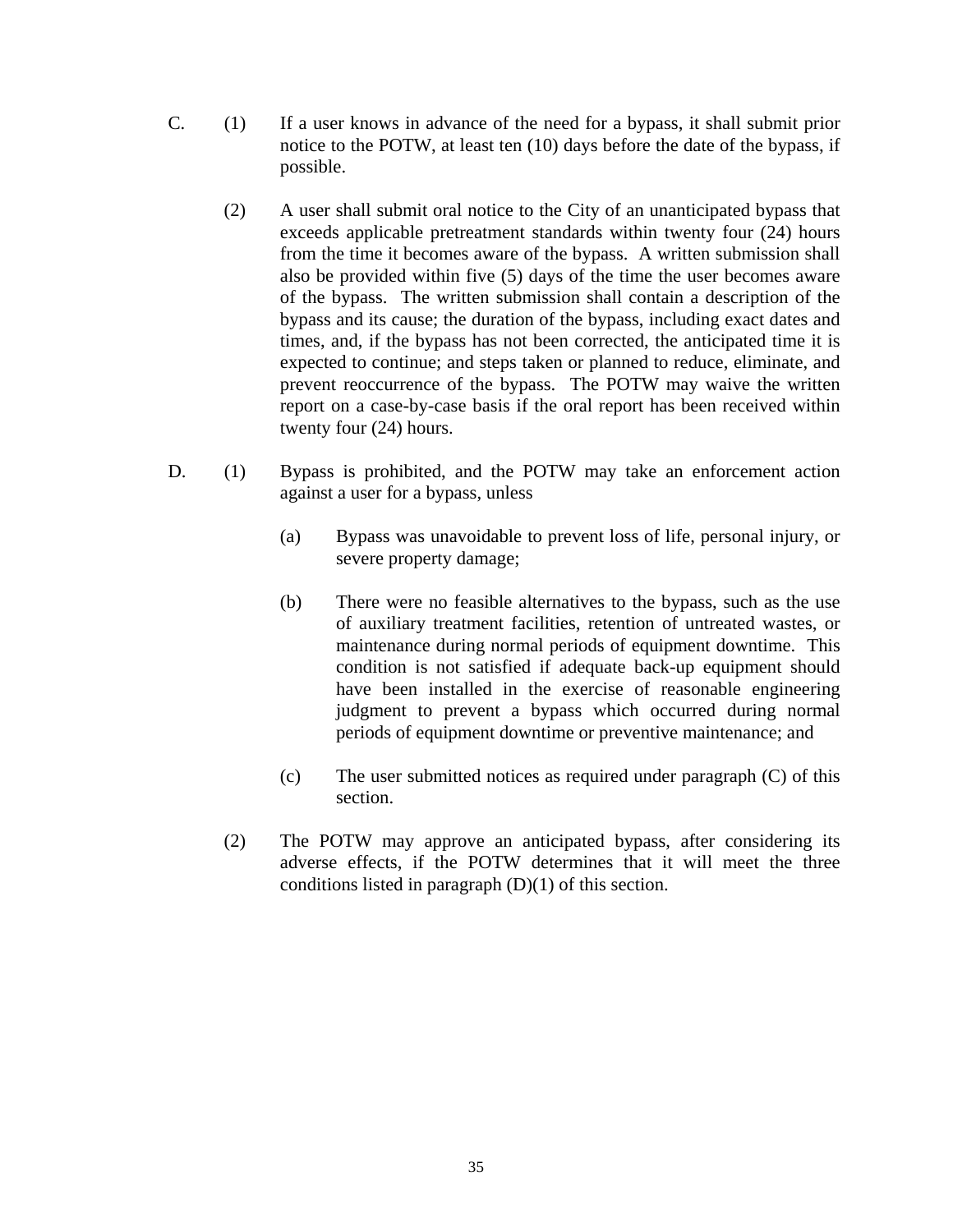- C. (1) If a user knows in advance of the need for a bypass, it shall submit prior notice to the POTW, at least ten (10) days before the date of the bypass, if possible.
	- (2) A user shall submit oral notice to the City of an unanticipated bypass that exceeds applicable pretreatment standards within twenty four (24) hours from the time it becomes aware of the bypass. A written submission shall also be provided within five (5) days of the time the user becomes aware of the bypass. The written submission shall contain a description of the bypass and its cause; the duration of the bypass, including exact dates and times, and, if the bypass has not been corrected, the anticipated time it is expected to continue; and steps taken or planned to reduce, eliminate, and prevent reoccurrence of the bypass. The POTW may waive the written report on a case-by-case basis if the oral report has been received within twenty four (24) hours.
- D. (1) Bypass is prohibited, and the POTW may take an enforcement action against a user for a bypass, unless
	- (a) Bypass was unavoidable to prevent loss of life, personal injury, or severe property damage;
	- (b) There were no feasible alternatives to the bypass, such as the use of auxiliary treatment facilities, retention of untreated wastes, or maintenance during normal periods of equipment downtime. This condition is not satisfied if adequate back-up equipment should have been installed in the exercise of reasonable engineering judgment to prevent a bypass which occurred during normal periods of equipment downtime or preventive maintenance; and
	- (c) The user submitted notices as required under paragraph (C) of this section.
	- (2) The POTW may approve an anticipated bypass, after considering its adverse effects, if the POTW determines that it will meet the three conditions listed in paragraph (D)(1) of this section.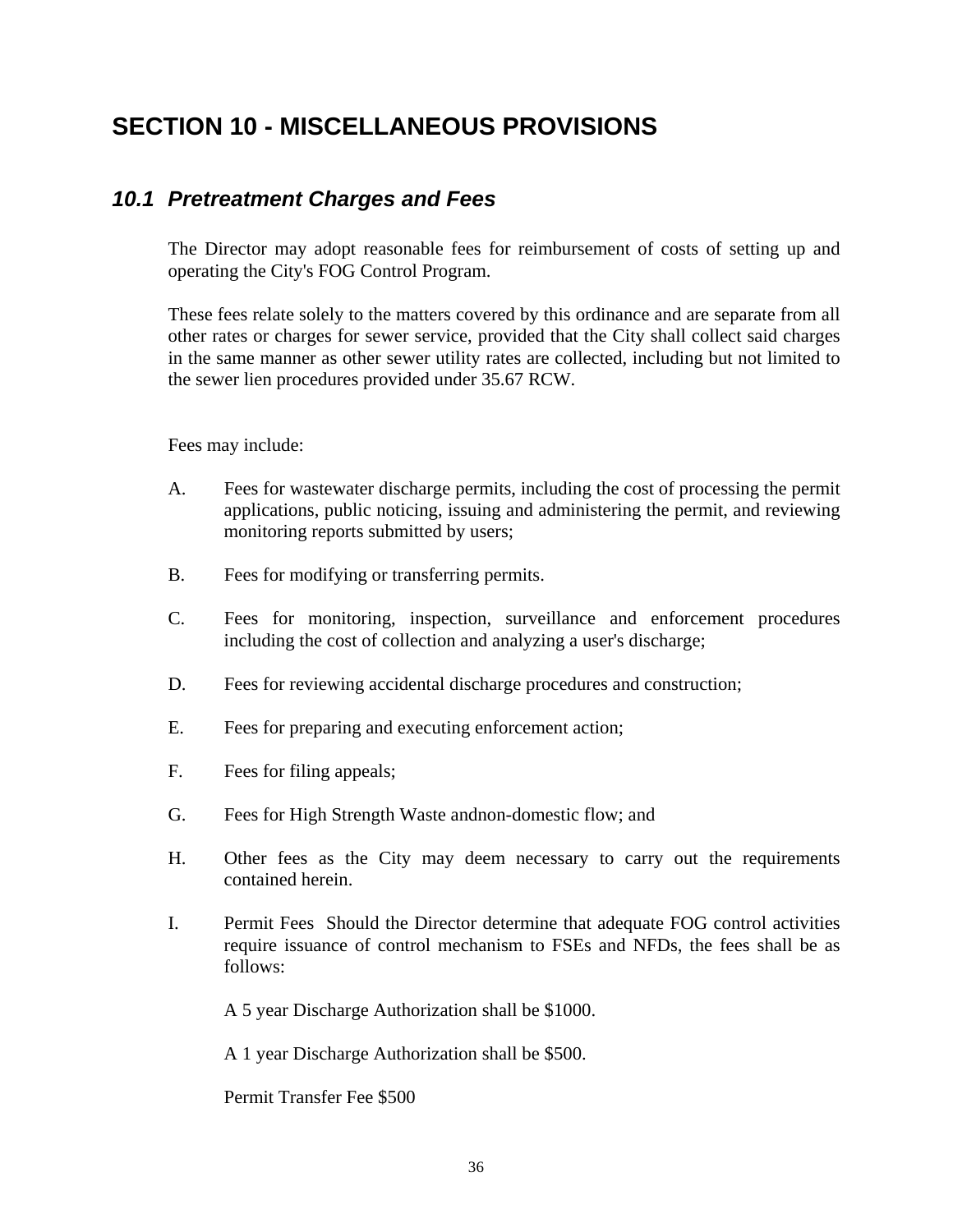# <span id="page-39-0"></span>**SECTION 10 - MISCELLANEOUS PROVISIONS**

#### *10.1 Pretreatment Charges and Fees*

The Director may adopt reasonable fees for reimbursement of costs of setting up and operating the City's FOG Control Program.

These fees relate solely to the matters covered by this ordinance and are separate from all other rates or charges for sewer service, provided that the City shall collect said charges in the same manner as other sewer utility rates are collected, including but not limited to the sewer lien procedures provided under 35.67 RCW.

Fees may include:

- A. Fees for wastewater discharge permits, including the cost of processing the permit applications, public noticing, issuing and administering the permit, and reviewing monitoring reports submitted by users;
- B. Fees for modifying or transferring permits.
- C. Fees for monitoring, inspection, surveillance and enforcement procedures including the cost of collection and analyzing a user's discharge;
- D. Fees for reviewing accidental discharge procedures and construction;
- E. Fees for preparing and executing enforcement action;
- F. Fees for filing appeals;
- G. Fees for High Strength Waste andnon-domestic flow; and
- H. Other fees as the City may deem necessary to carry out the requirements contained herein.
- I. Permit Fees Should the Director determine that adequate FOG control activities require issuance of control mechanism to FSEs and NFDs, the fees shall be as follows:

A 5 year Discharge Authorization shall be \$1000.

A 1 year Discharge Authorization shall be \$500.

Permit Transfer Fee \$500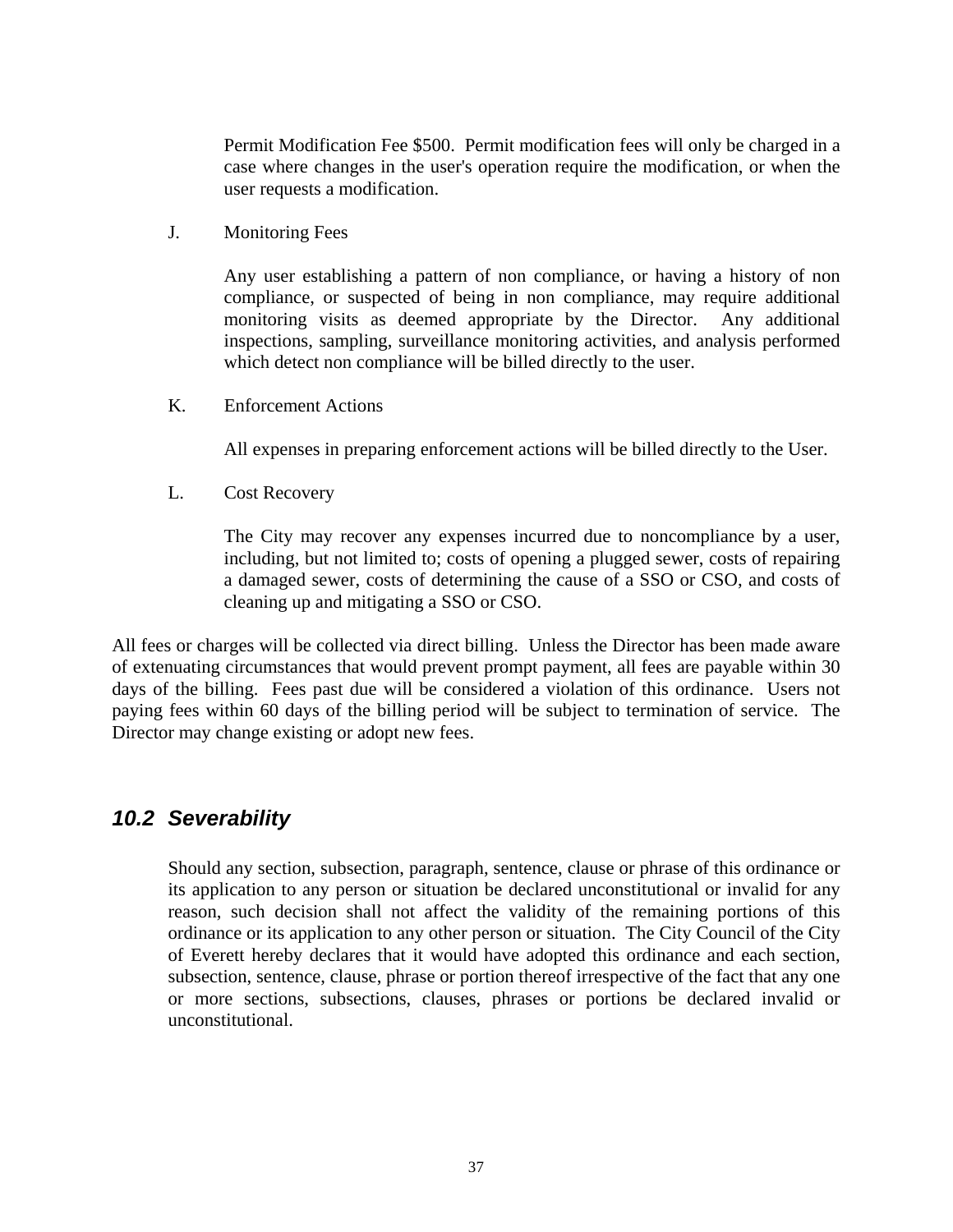<span id="page-40-0"></span> Permit Modification Fee \$500. Permit modification fees will only be charged in a case where changes in the user's operation require the modification, or when the user requests a modification.

J. Monitoring Fees

 Any user establishing a pattern of non compliance, or having a history of non compliance, or suspected of being in non compliance, may require additional monitoring visits as deemed appropriate by the Director. Any additional inspections, sampling, surveillance monitoring activities, and analysis performed which detect non compliance will be billed directly to the user.

K. Enforcement Actions

All expenses in preparing enforcement actions will be billed directly to the User.

L. Cost Recovery

 The City may recover any expenses incurred due to noncompliance by a user, including, but not limited to; costs of opening a plugged sewer, costs of repairing a damaged sewer, costs of determining the cause of a SSO or CSO, and costs of cleaning up and mitigating a SSO or CSO.

All fees or charges will be collected via direct billing. Unless the Director has been made aware of extenuating circumstances that would prevent prompt payment, all fees are payable within 30 days of the billing. Fees past due will be considered a violation of this ordinance. Users not paying fees within 60 days of the billing period will be subject to termination of service. The Director may change existing or adopt new fees.

#### *10.2 Severability*

 Should any section, subsection, paragraph, sentence, clause or phrase of this ordinance or its application to any person or situation be declared unconstitutional or invalid for any reason, such decision shall not affect the validity of the remaining portions of this ordinance or its application to any other person or situation. The City Council of the City of Everett hereby declares that it would have adopted this ordinance and each section, subsection, sentence, clause, phrase or portion thereof irrespective of the fact that any one or more sections, subsections, clauses, phrases or portions be declared invalid or unconstitutional.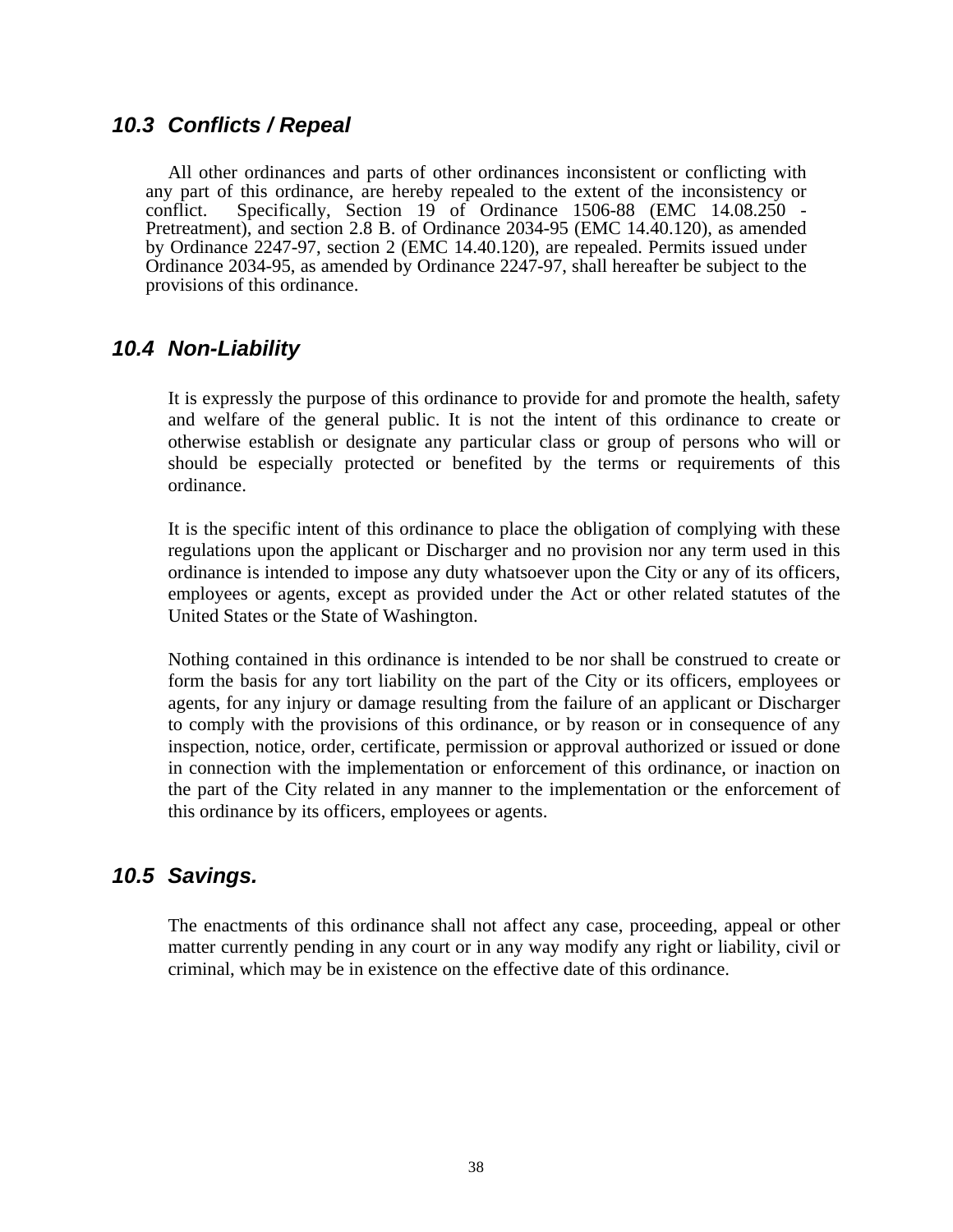#### <span id="page-41-0"></span>*10.3 Conflicts / Repeal*

 All other ordinances and parts of other ordinances inconsistent or conflicting with any part of this ordinance, are hereby repealed to the extent of the inconsistency or conflict. Specifically, Section 19 of Ordinance 1506-88 (EMC 14.08.250 - Pretreatment), and section 2.8 B. of Ordinance 2034-95 (EMC 14.40.120), as amended by Ordinance 2247-97, section 2 (EMC 14.40.120), are repealed. Permits issued under Ordinance 2034-95, as amended by Ordinance 2247-97, shall hereafter be subject to the provisions of this ordinance.

#### *10.4 Non-Liability*

It is expressly the purpose of this ordinance to provide for and promote the health, safety and welfare of the general public. It is not the intent of this ordinance to create or otherwise establish or designate any particular class or group of persons who will or should be especially protected or benefited by the terms or requirements of this ordinance.

It is the specific intent of this ordinance to place the obligation of complying with these regulations upon the applicant or Discharger and no provision nor any term used in this ordinance is intended to impose any duty whatsoever upon the City or any of its officers, employees or agents, except as provided under the Act or other related statutes of the United States or the State of Washington.

Nothing contained in this ordinance is intended to be nor shall be construed to create or form the basis for any tort liability on the part of the City or its officers, employees or agents, for any injury or damage resulting from the failure of an applicant or Discharger to comply with the provisions of this ordinance, or by reason or in consequence of any inspection, notice, order, certificate, permission or approval authorized or issued or done in connection with the implementation or enforcement of this ordinance, or inaction on the part of the City related in any manner to the implementation or the enforcement of this ordinance by its officers, employees or agents.

#### *10.5 Savings.*

The enactments of this ordinance shall not affect any case, proceeding, appeal or other matter currently pending in any court or in any way modify any right or liability, civil or criminal, which may be in existence on the effective date of this ordinance.